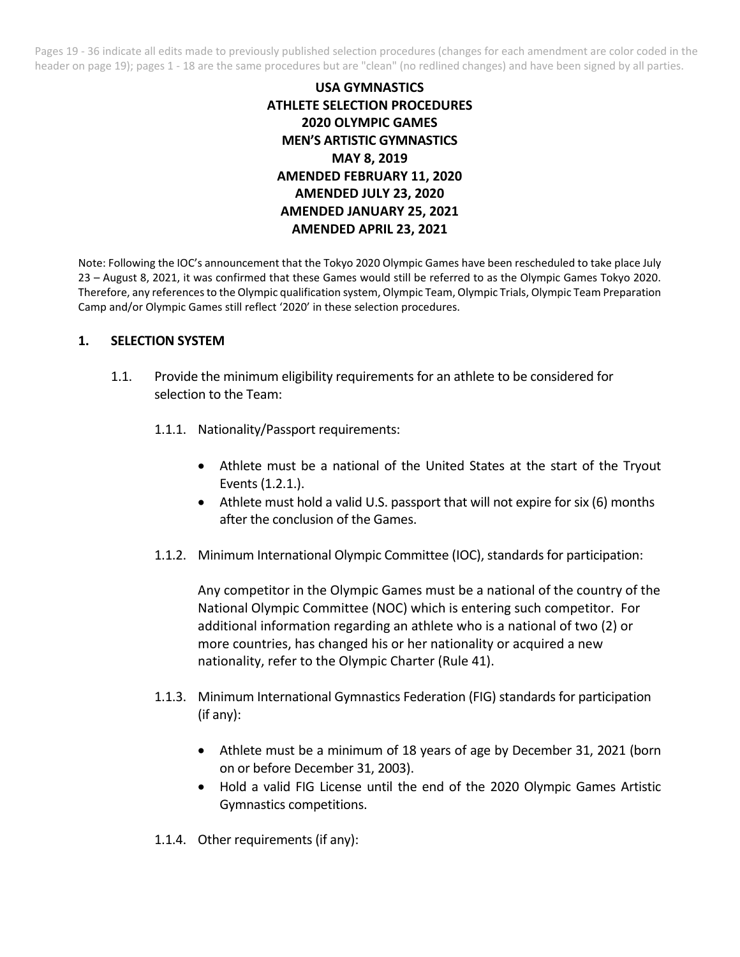Pages 19 - 36 indicate all edits made to previously published selection procedures (changes for each amendment are color coded in the header on page 19); pages 1 - 18 are the same procedures but are "clean" (no redlined changes) and have been signed by all parties.

# **USA GYMNASTICS ATHLETE SELECTION PROCEDURES 2020 OLYMPIC GAMES MEN'S ARTISTIC GYMNASTICS MAY 8, 2019 AMENDED FEBRUARY 11, 2020 AMENDED JULY 23, 2020 AMENDED JANUARY 25, 2021 AMENDED APRIL 23, 2021**

Note: Following the IOC's announcement that the Tokyo 2020 Olympic Games have been rescheduled to take place July 23 – August 8, 2021, it was confirmed that these Games would still be referred to as the Olympic Games Tokyo 2020. Therefore, any references to the Olympic qualification system, Olympic Team, Olympic Trials, Olympic Team Preparation Camp and/or Olympic Games still reflect '2020' in these selection procedures.

### **1. SELECTION SYSTEM**

- 1.1. Provide the minimum eligibility requirements for an athlete to be considered for selection to the Team:
	- 1.1.1. Nationality/Passport requirements:
		- Athlete must be a national of the United States at the start of the Tryout Events (1.2.1.).
		- Athlete must hold a valid U.S. passport that will not expire for six (6) months after the conclusion of the Games.
	- 1.1.2. Minimum International Olympic Committee (IOC), standards for participation:

Any competitor in the Olympic Games must be a national of the country of the National Olympic Committee (NOC) which is entering such competitor. For additional information regarding an athlete who is a national of two (2) or more countries, has changed his or her nationality or acquired a new nationality, refer to the Olympic Charter (Rule 41).

- 1.1.3. Minimum International Gymnastics Federation (FIG) standards for participation (if any):
	- Athlete must be a minimum of 18 years of age by December 31, 2021 (born on or before December 31, 2003).
	- Hold a valid FIG License until the end of the 2020 Olympic Games Artistic Gymnastics competitions.

1.1.4. Other requirements (if any):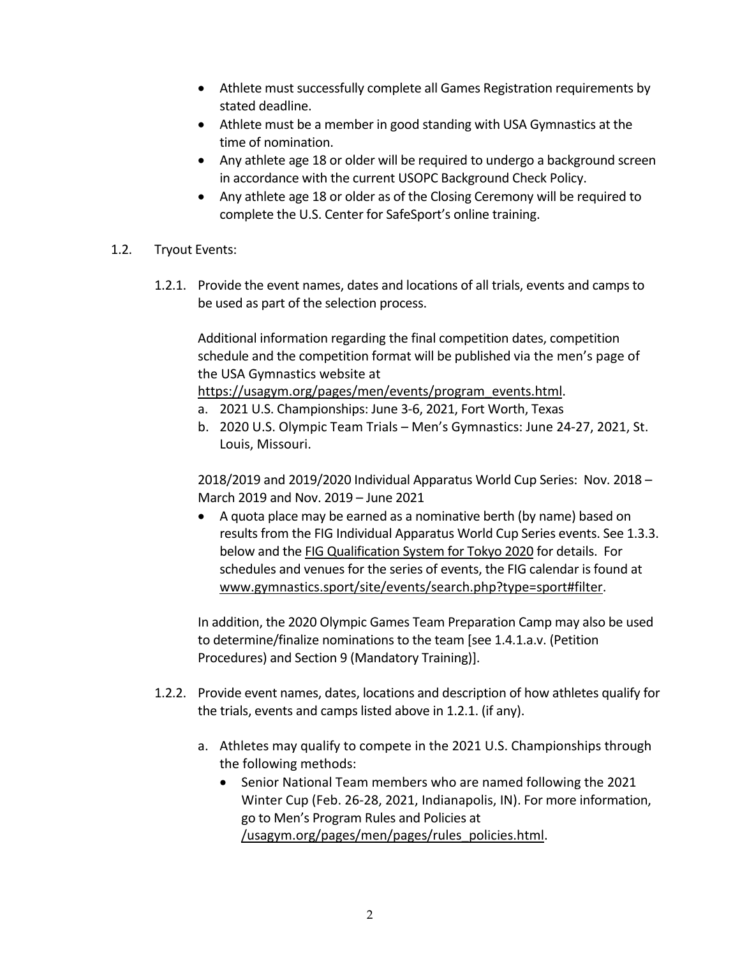- Athlete must successfully complete all Games Registration requirements by stated deadline.
- Athlete must be a member in good standing with USA Gymnastics at the time of nomination.
- Any athlete age 18 or older will be required to undergo a background screen in accordance with the current USOPC Background Check Policy.
- Any athlete age 18 or older as of the Closing Ceremony will be required to complete the U.S. Center for SafeSport's online training.
- 1.2. Tryout Events:
	- 1.2.1. Provide the event names, dates and locations of all trials, events and camps to be used as part of the selection process.

Additional information regarding the final competition dates, competition schedule and the competition format will be published via the men's page of the USA Gymnastics website at

https://usagym.org/pages/men/events/program\_events.html.

- a. 2021 U.S. Championships: June 3-6, 2021, Fort Worth, Texas
- b. 2020 U.S. Olympic Team Trials Men's Gymnastics: June 24-27, 2021, St. Louis, Missouri.

2018/2019 and 2019/2020 Individual Apparatus World Cup Series: Nov. 2018 – March 2019 and Nov. 2019 – June 2021

• A quota place may be earned as a nominative berth (by name) based on results from the FIG Individual Apparatus World Cup Series events. See 1.3.3. below and the FIG Qualification System for Tokyo 2020 for details. For schedules and venues for the series of events, the FIG calendar is found at www.gymnastics.sport/site/events/search.php?type=sport#filter.

In addition, the 2020 Olympic Games Team Preparation Camp may also be used to determine/finalize nominations to the team [see 1.4.1.a.v. (Petition Procedures) and Section 9 (Mandatory Training)].

- 1.2.2. Provide event names, dates, locations and description of how athletes qualify for the trials, events and camps listed above in 1.2.1. (if any).
	- a. Athletes may qualify to compete in the 2021 U.S. Championships through the following methods:
		- Senior National Team members who are named following the 2021 Winter Cup (Feb. 26-28, 2021, Indianapolis, IN). For more information, go to Men's Program Rules and Policies at /usagym.org/pages/men/pages/rules\_policies.html.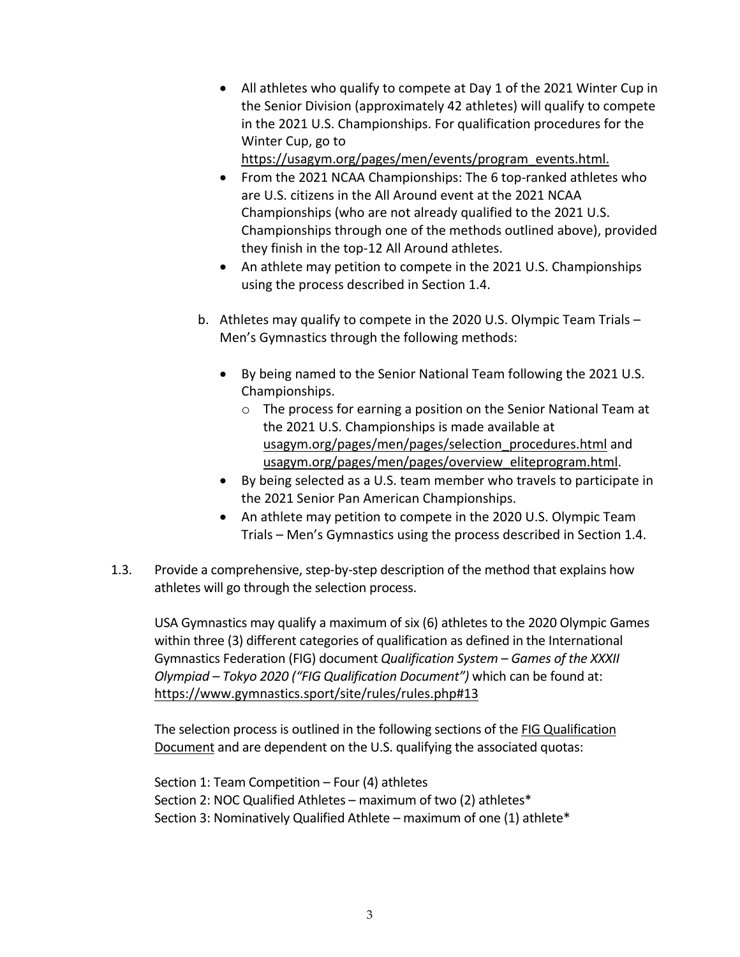• All athletes who qualify to compete at Day 1 of the 2021 Winter Cup in the Senior Division (approximately 42 athletes) will qualify to compete in the 2021 U.S. Championships. For qualification procedures for the Winter Cup, go to

https://usagym.org/pages/men/events/program\_events.html.

- From the 2021 NCAA Championships: The 6 top-ranked athletes who are U.S. citizens in the All Around event at the 2021 NCAA Championships (who are not already qualified to the 2021 U.S. Championships through one of the methods outlined above), provided they finish in the top-12 All Around athletes.
- An athlete may petition to compete in the 2021 U.S. Championships using the process described in Section 1.4.
- b. Athletes may qualify to compete in the 2020 U.S. Olympic Team Trials Men's Gymnastics through the following methods:
	- By being named to the Senior National Team following the 2021 U.S. Championships.
		- o The process for earning a position on the Senior National Team at the 2021 U.S. Championships is made available at usagym.org/pages/men/pages/selection\_procedures.html and usagym.org/pages/men/pages/overview\_eliteprogram.html.
	- By being selected as a U.S. team member who travels to participate in the 2021 Senior Pan American Championships.
	- An athlete may petition to compete in the 2020 U.S. Olympic Team Trials – Men's Gymnastics using the process described in Section 1.4.
- 1.3. Provide a comprehensive, step-by-step description of the method that explains how athletes will go through the selection process.

USA Gymnastics may qualify a maximum of six (6) athletes to the 2020 Olympic Games within three (3) different categories of qualification as defined in the International Gymnastics Federation (FIG) document *Qualification System – Games of the XXXII Olympiad – Tokyo 2020 ("FIG Qualification Document")* which can be found at: https://www.gymnastics.sport/site/rules/rules.php#13

The selection process is outlined in the following sections of the FIG Qualification Document and are dependent on the U.S. qualifying the associated quotas:

Section 1: Team Competition – Four (4) athletes Section 2: NOC Qualified Athletes – maximum of two (2) athletes\* Section 3: Nominatively Qualified Athlete – maximum of one (1) athlete\*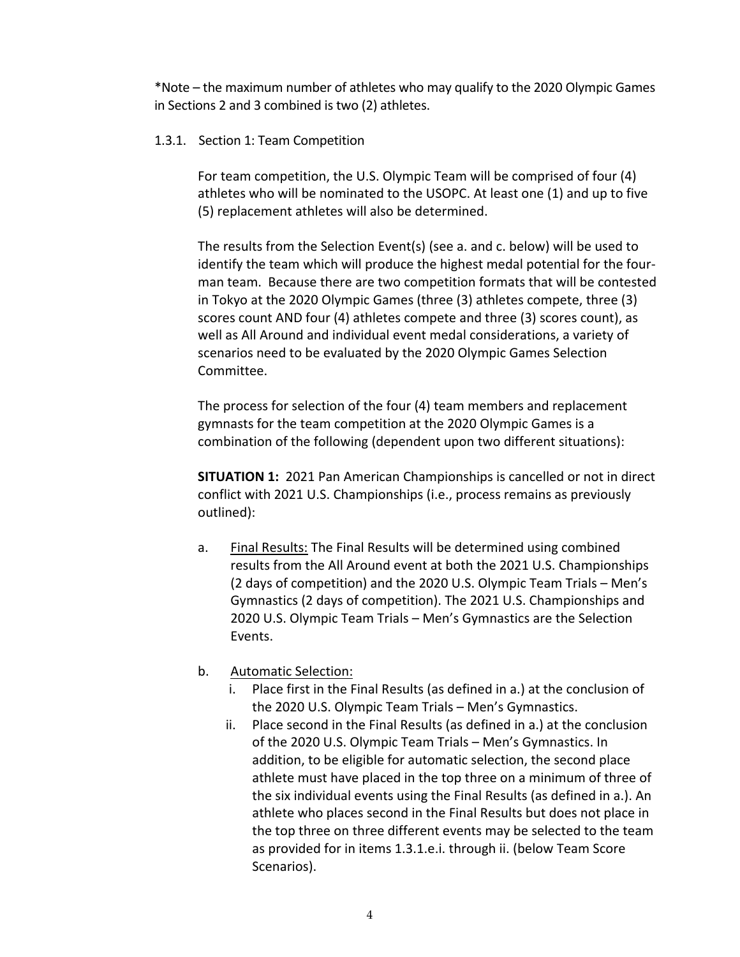\*Note – the maximum number of athletes who may qualify to the 2020 Olympic Games in Sections 2 and 3 combined is two (2) athletes.

### 1.3.1. Section 1: Team Competition

For team competition, the U.S. Olympic Team will be comprised of four (4) athletes who will be nominated to the USOPC. At least one (1) and up to five (5) replacement athletes will also be determined.

The results from the Selection Event(s) (see a. and c. below) will be used to identify the team which will produce the highest medal potential for the fourman team. Because there are two competition formats that will be contested in Tokyo at the 2020 Olympic Games (three (3) athletes compete, three (3) scores count AND four (4) athletes compete and three (3) scores count), as well as All Around and individual event medal considerations, a variety of scenarios need to be evaluated by the 2020 Olympic Games Selection Committee.

The process for selection of the four (4) team members and replacement gymnasts for the team competition at the 2020 Olympic Games is a combination of the following (dependent upon two different situations):

**SITUATION 1:** 2021 Pan American Championships is cancelled or not in direct conflict with 2021 U.S. Championships (i.e., process remains as previously outlined):

- a. Final Results: The Final Results will be determined using combined results from the All Around event at both the 2021 U.S. Championships (2 days of competition) and the 2020 U.S. Olympic Team Trials – Men's Gymnastics (2 days of competition). The 2021 U.S. Championships and 2020 U.S. Olympic Team Trials – Men's Gymnastics are the Selection Events.
- b. Automatic Selection:
	- i. Place first in the Final Results (as defined in a.) at the conclusion of the 2020 U.S. Olympic Team Trials – Men's Gymnastics.
	- ii. Place second in the Final Results (as defined in a.) at the conclusion of the 2020 U.S. Olympic Team Trials – Men's Gymnastics. In addition, to be eligible for automatic selection, the second place athlete must have placed in the top three on a minimum of three of the six individual events using the Final Results (as defined in a.). An athlete who places second in the Final Results but does not place in the top three on three different events may be selected to the team as provided for in items 1.3.1.e.i. through ii. (below Team Score Scenarios).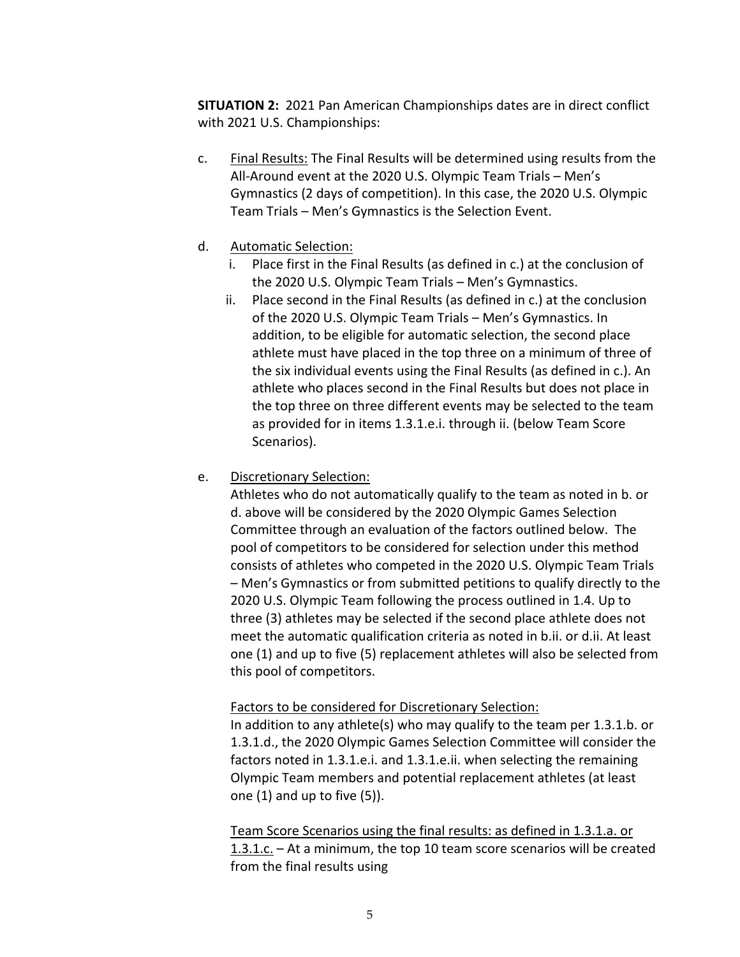**SITUATION 2:** 2021 Pan American Championships dates are in direct conflict with 2021 U.S. Championships:

- c. Final Results: The Final Results will be determined using results from the All-Around event at the 2020 U.S. Olympic Team Trials – Men's Gymnastics (2 days of competition). In this case, the 2020 U.S. Olympic Team Trials – Men's Gymnastics is the Selection Event.
- d. Automatic Selection:
	- i. Place first in the Final Results (as defined in c.) at the conclusion of the 2020 U.S. Olympic Team Trials – Men's Gymnastics.
	- ii. Place second in the Final Results (as defined in c.) at the conclusion of the 2020 U.S. Olympic Team Trials – Men's Gymnastics. In addition, to be eligible for automatic selection, the second place athlete must have placed in the top three on a minimum of three of the six individual events using the Final Results (as defined in c.). An athlete who places second in the Final Results but does not place in the top three on three different events may be selected to the team as provided for in items 1.3.1.e.i. through ii. (below Team Score Scenarios).
- e. Discretionary Selection:

Athletes who do not automatically qualify to the team as noted in b. or d. above will be considered by the 2020 Olympic Games Selection Committee through an evaluation of the factors outlined below. The pool of competitors to be considered for selection under this method consists of athletes who competed in the 2020 U.S. Olympic Team Trials – Men's Gymnastics or from submitted petitions to qualify directly to the 2020 U.S. Olympic Team following the process outlined in 1.4. Up to three (3) athletes may be selected if the second place athlete does not meet the automatic qualification criteria as noted in b.ii. or d.ii. At least one (1) and up to five (5) replacement athletes will also be selected from this pool of competitors.

## Factors to be considered for Discretionary Selection:

In addition to any athlete(s) who may qualify to the team per 1.3.1.b. or 1.3.1.d., the 2020 Olympic Games Selection Committee will consider the factors noted in 1.3.1.e.i. and 1.3.1.e.ii. when selecting the remaining Olympic Team members and potential replacement athletes (at least one (1) and up to five (5)).

Team Score Scenarios using the final results: as defined in 1.3.1.a. or 1.3.1.c. – At a minimum, the top 10 team score scenarios will be created from the final results using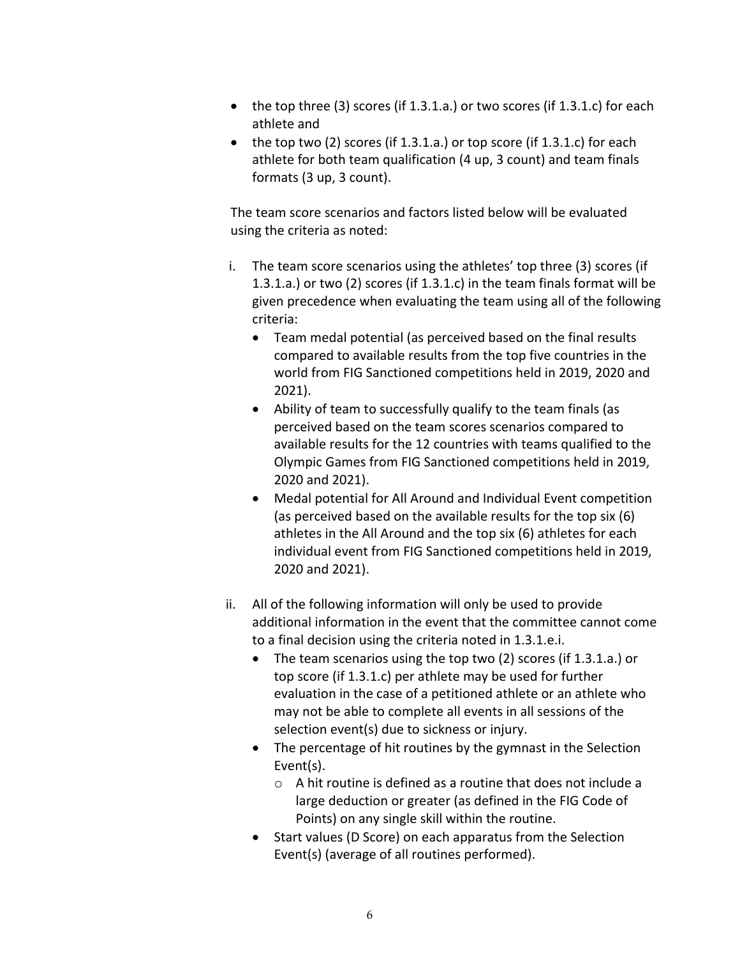- the top three (3) scores (if 1.3.1.a.) or two scores (if 1.3.1.c) for each athlete and
- $\bullet$  the top two (2) scores (if 1.3.1.a.) or top score (if 1.3.1.c) for each athlete for both team qualification (4 up, 3 count) and team finals formats (3 up, 3 count).

The team score scenarios and factors listed below will be evaluated using the criteria as noted:

- i. The team score scenarios using the athletes' top three (3) scores (if 1.3.1.a.) or two (2) scores (if 1.3.1.c) in the team finals format will be given precedence when evaluating the team using all of the following criteria:
	- Team medal potential (as perceived based on the final results compared to available results from the top five countries in the world from FIG Sanctioned competitions held in 2019, 2020 and 2021).
	- Ability of team to successfully qualify to the team finals (as perceived based on the team scores scenarios compared to available results for the 12 countries with teams qualified to the Olympic Games from FIG Sanctioned competitions held in 2019, 2020 and 2021).
	- Medal potential for All Around and Individual Event competition (as perceived based on the available results for the top six (6) athletes in the All Around and the top six (6) athletes for each individual event from FIG Sanctioned competitions held in 2019, 2020 and 2021).
- ii. All of the following information will only be used to provide additional information in the event that the committee cannot come to a final decision using the criteria noted in 1.3.1.e.i.
	- The team scenarios using the top two (2) scores (if 1.3.1.a.) or top score (if 1.3.1.c) per athlete may be used for further evaluation in the case of a petitioned athlete or an athlete who may not be able to complete all events in all sessions of the selection event(s) due to sickness or injury.
	- The percentage of hit routines by the gymnast in the Selection Event(s).
		- o A hit routine is defined as a routine that does not include a large deduction or greater (as defined in the FIG Code of Points) on any single skill within the routine.
	- Start values (D Score) on each apparatus from the Selection Event(s) (average of all routines performed).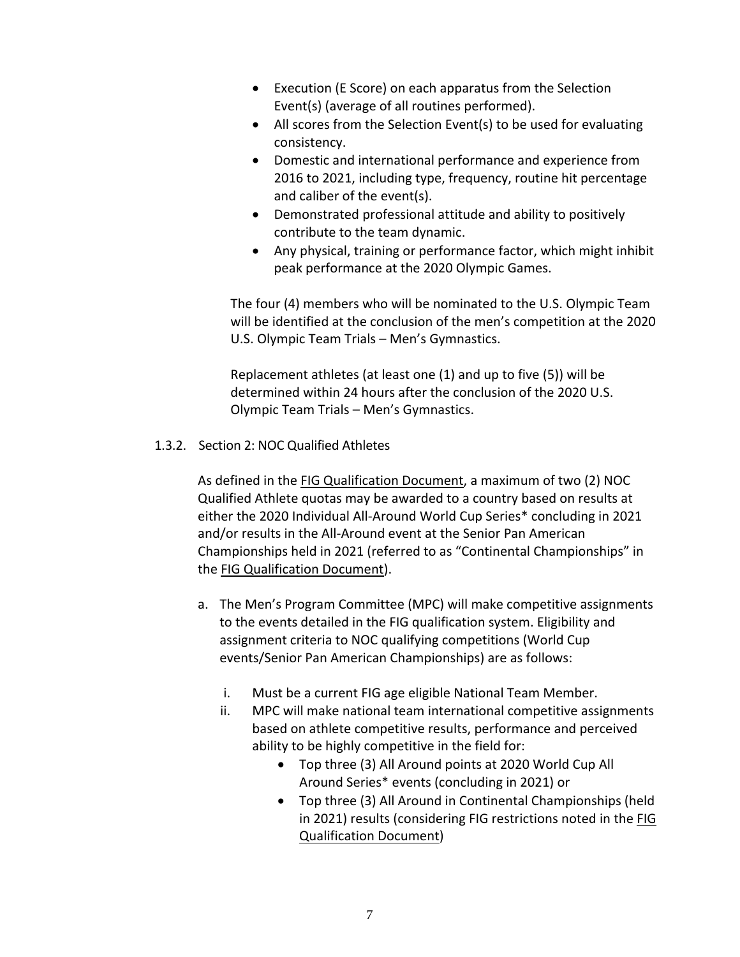- Execution (E Score) on each apparatus from the Selection Event(s) (average of all routines performed).
- All scores from the Selection Event(s) to be used for evaluating consistency.
- Domestic and international performance and experience from 2016 to 2021, including type, frequency, routine hit percentage and caliber of the event(s).
- Demonstrated professional attitude and ability to positively contribute to the team dynamic.
- Any physical, training or performance factor, which might inhibit peak performance at the 2020 Olympic Games.

The four (4) members who will be nominated to the U.S. Olympic Team will be identified at the conclusion of the men's competition at the 2020 U.S. Olympic Team Trials – Men's Gymnastics.

Replacement athletes (at least one (1) and up to five (5)) will be determined within 24 hours after the conclusion of the 2020 U.S. Olympic Team Trials – Men's Gymnastics.

## 1.3.2. Section 2: NOC Qualified Athletes

As defined in the FIG Qualification Document, a maximum of two (2) NOC Qualified Athlete quotas may be awarded to a country based on results at either the 2020 Individual All-Around World Cup Series\* concluding in 2021 and/or results in the All-Around event at the Senior Pan American Championships held in 2021 (referred to as "Continental Championships" in the FIG Qualification Document).

- a. The Men's Program Committee (MPC) will make competitive assignments to the events detailed in the FIG qualification system. Eligibility and assignment criteria to NOC qualifying competitions (World Cup events/Senior Pan American Championships) are as follows:
	- i. Must be a current FIG age eligible National Team Member.
	- ii. MPC will make national team international competitive assignments based on athlete competitive results, performance and perceived ability to be highly competitive in the field for:
		- Top three (3) All Around points at 2020 World Cup All Around Series\* events (concluding in 2021) or
		- Top three (3) All Around in Continental Championships (held in 2021) results (considering FIG restrictions noted in the FIG Qualification Document)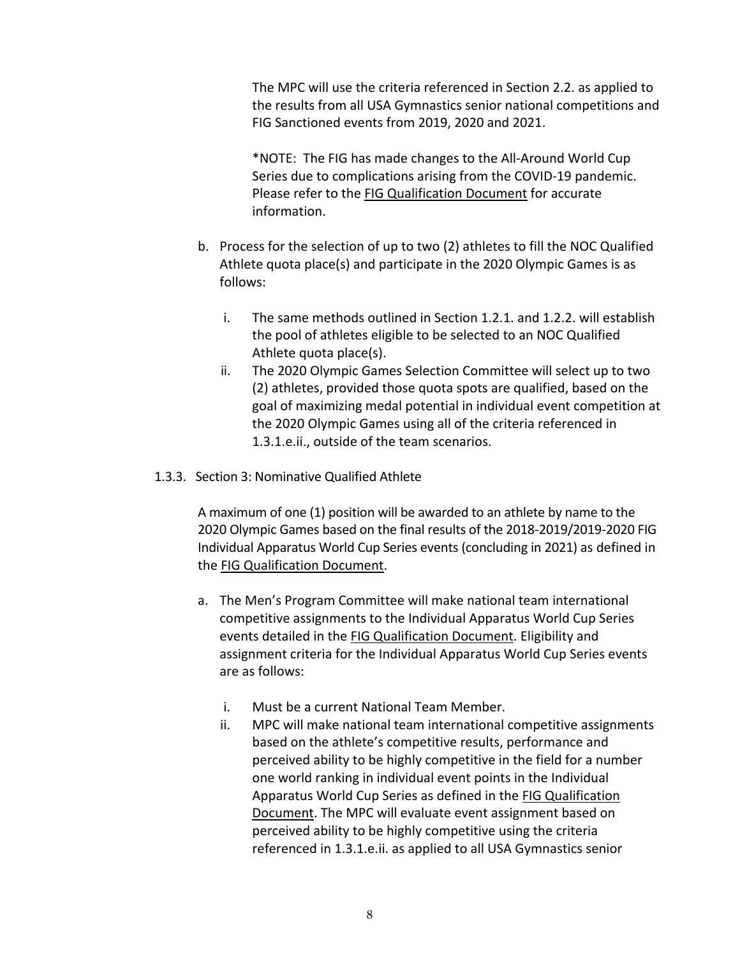The MPC will use the criteria referenced in Section 2.2. as applied to the results from all USA Gymnastics senior national competitions and FIG Sanctioned events from 2019, 2020 and 2021.

\*NOTE: The FIG has made changes to the All-Around World Cup Series due to complications arising from the COVID-19 pandemic. Please refer to the FIG Qualification Document for accurate information.

- b. Process for the selection of up to two (2) athletes to fill the NOC Qualified Athlete quota place(s) and participate in the 2020 Olympic Games is as follows:
	- i. The same methods outlined in Section 1.2.1. and 1.2.2. will establish the pool of athletes eligible to be selected to an NOC Qualified Athlete quota place(s).
	- ii. The 2020 Olympic Games Selection Committee will select up to two (2) athletes, provided those quota spots are qualified, based on the goal of maximizing medal potential in individual event competition at the 2020 Olympic Games using all of the criteria referenced in 1.3.1.e.ii., outside of the team scenarios.
- 1.3.3. Section 3: Nominative Qualified Athlete

A maximum of one (1) position will be awarded to an athlete by name to the 2020 Olympic Games based on the final results of the 2018-2019/2019-2020 FIG Individual Apparatus World Cup Series events (concluding in 2021) as defined in the FIG Qualification Document.

- a. The Men's Program Committee will make national team international competitive assignments to the Individual Apparatus World Cup Series events detailed in the FIG Qualification Document. Eligibility and assignment criteria for the Individual Apparatus World Cup Series events are as follows:
	- i. Must be a current National Team Member.
	- ii. MPC will make national team international competitive assignments based on the athlete's competitive results, performance and perceived ability to be highly competitive in the field for a number one world ranking in individual event points in the Individual Apparatus World Cup Series as defined in the FIG Qualification Document. The MPC will evaluate event assignment based on perceived ability to be highly competitive using the criteria referenced in 1.3.1.e.ii. as applied to all USA Gymnastics senior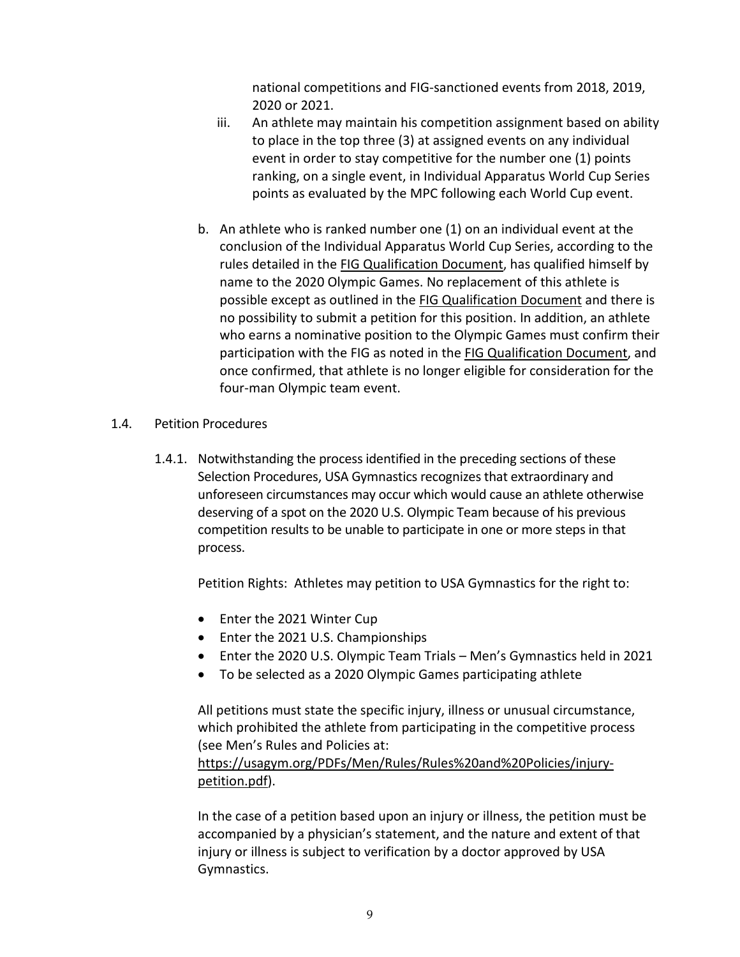national competitions and FIG-sanctioned events from 2018, 2019, 2020 or 2021.

- iii. An athlete may maintain his competition assignment based on ability to place in the top three (3) at assigned events on any individual event in order to stay competitive for the number one (1) points ranking, on a single event, in Individual Apparatus World Cup Series points as evaluated by the MPC following each World Cup event.
- b. An athlete who is ranked number one (1) on an individual event at the conclusion of the Individual Apparatus World Cup Series, according to the rules detailed in the FIG Qualification Document, has qualified himself by name to the 2020 Olympic Games. No replacement of this athlete is possible except as outlined in the FIG Qualification Document and there is no possibility to submit a petition for this position. In addition, an athlete who earns a nominative position to the Olympic Games must confirm their participation with the FIG as noted in the FIG Qualification Document, and once confirmed, that athlete is no longer eligible for consideration for the four-man Olympic team event.
- 1.4. Petition Procedures
	- 1.4.1. Notwithstanding the process identified in the preceding sections of these Selection Procedures, USA Gymnastics recognizes that extraordinary and unforeseen circumstances may occur which would cause an athlete otherwise deserving of a spot on the 2020 U.S. Olympic Team because of his previous competition results to be unable to participate in one or more steps in that process.

Petition Rights: Athletes may petition to USA Gymnastics for the right to:

- Enter the 2021 Winter Cup
- Enter the 2021 U.S. Championships
- Enter the 2020 U.S. Olympic Team Trials Men's Gymnastics held in 2021
- To be selected as a 2020 Olympic Games participating athlete

All petitions must state the specific injury, illness or unusual circumstance, which prohibited the athlete from participating in the competitive process (see Men's Rules and Policies at:

https://usagym.org/PDFs/Men/Rules/Rules%20and%20Policies/injurypetition.pdf).

In the case of a petition based upon an injury or illness, the petition must be accompanied by a physician's statement, and the nature and extent of that injury or illness is subject to verification by a doctor approved by USA Gymnastics.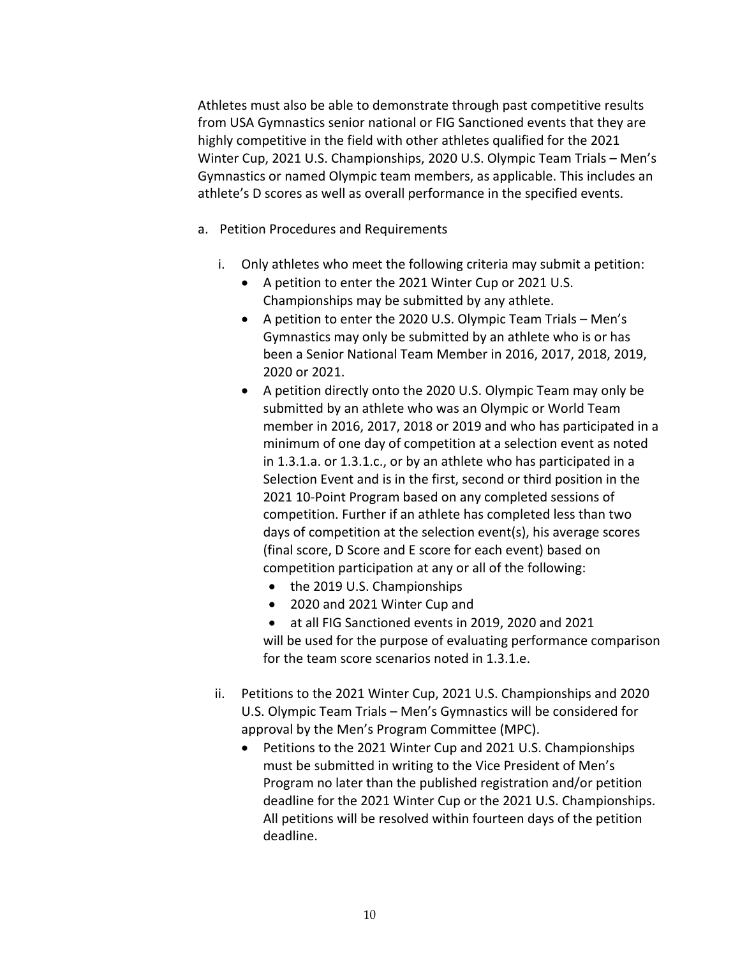Athletes must also be able to demonstrate through past competitive results from USA Gymnastics senior national or FIG Sanctioned events that they are highly competitive in the field with other athletes qualified for the 2021 Winter Cup, 2021 U.S. Championships, 2020 U.S. Olympic Team Trials – Men's Gymnastics or named Olympic team members, as applicable. This includes an athlete's D scores as well as overall performance in the specified events.

- a. Petition Procedures and Requirements
	- i. Only athletes who meet the following criteria may submit a petition:
		- A petition to enter the 2021 Winter Cup or 2021 U.S. Championships may be submitted by any athlete.
		- A petition to enter the 2020 U.S. Olympic Team Trials Men's Gymnastics may only be submitted by an athlete who is or has been a Senior National Team Member in 2016, 2017, 2018, 2019, 2020 or 2021.
		- A petition directly onto the 2020 U.S. Olympic Team may only be submitted by an athlete who was an Olympic or World Team member in 2016, 2017, 2018 or 2019 and who has participated in a minimum of one day of competition at a selection event as noted in 1.3.1.a. or 1.3.1.c., or by an athlete who has participated in a Selection Event and is in the first, second or third position in the 2021 10-Point Program based on any completed sessions of competition. Further if an athlete has completed less than two days of competition at the selection event(s), his average scores (final score, D Score and E score for each event) based on competition participation at any or all of the following:
			- the 2019 U.S. Championships
			- 2020 and 2021 Winter Cup and
			- at all FIG Sanctioned events in 2019, 2020 and 2021 will be used for the purpose of evaluating performance comparison for the team score scenarios noted in 1.3.1.e.
	- ii. Petitions to the 2021 Winter Cup, 2021 U.S. Championships and 2020 U.S. Olympic Team Trials – Men's Gymnastics will be considered for approval by the Men's Program Committee (MPC).
		- Petitions to the 2021 Winter Cup and 2021 U.S. Championships must be submitted in writing to the Vice President of Men's Program no later than the published registration and/or petition deadline for the 2021 Winter Cup or the 2021 U.S. Championships. All petitions will be resolved within fourteen days of the petition deadline.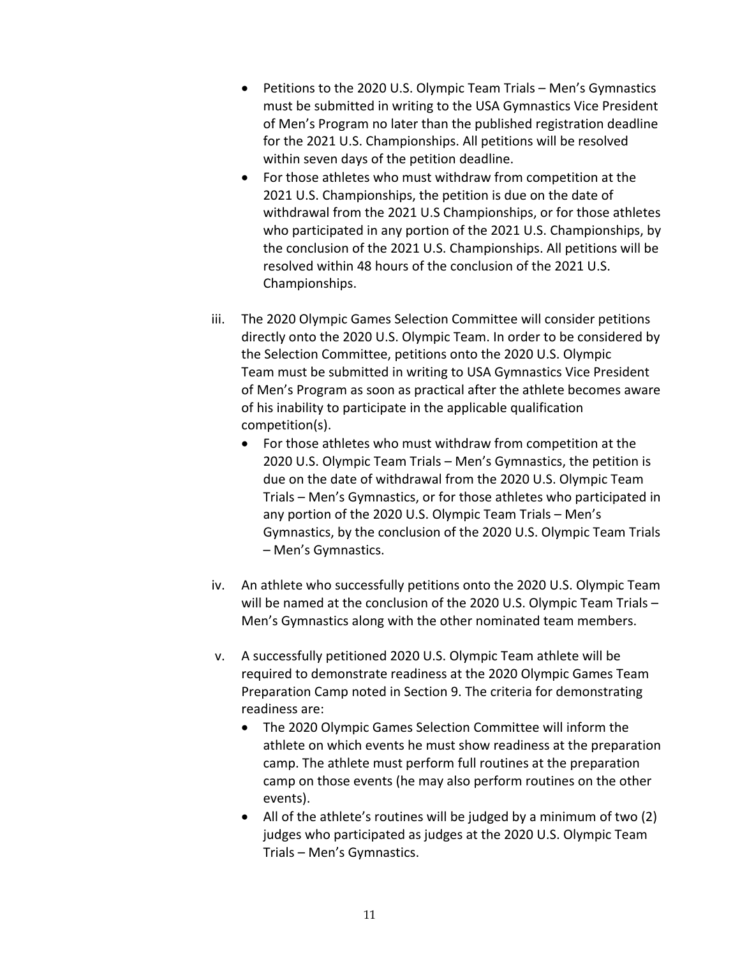- Petitions to the 2020 U.S. Olympic Team Trials Men's Gymnastics must be submitted in writing to the USA Gymnastics Vice President of Men's Program no later than the published registration deadline for the 2021 U.S. Championships. All petitions will be resolved within seven days of the petition deadline.
- For those athletes who must withdraw from competition at the 2021 U.S. Championships, the petition is due on the date of withdrawal from the 2021 U.S Championships, or for those athletes who participated in any portion of the 2021 U.S. Championships, by the conclusion of the 2021 U.S. Championships. All petitions will be resolved within 48 hours of the conclusion of the 2021 U.S. Championships.
- iii. The 2020 Olympic Games Selection Committee will consider petitions directly onto the 2020 U.S. Olympic Team. In order to be considered by the Selection Committee, petitions onto the 2020 U.S. Olympic Team must be submitted in writing to USA Gymnastics Vice President of Men's Program as soon as practical after the athlete becomes aware of his inability to participate in the applicable qualification competition(s).
	- For those athletes who must withdraw from competition at the 2020 U.S. Olympic Team Trials – Men's Gymnastics, the petition is due on the date of withdrawal from the 2020 U.S. Olympic Team Trials – Men's Gymnastics, or for those athletes who participated in any portion of the 2020 U.S. Olympic Team Trials – Men's Gymnastics, by the conclusion of the 2020 U.S. Olympic Team Trials – Men's Gymnastics.
- iv. An athlete who successfully petitions onto the 2020 U.S. Olympic Team will be named at the conclusion of the 2020 U.S. Olympic Team Trials – Men's Gymnastics along with the other nominated team members.
- v. A successfully petitioned 2020 U.S. Olympic Team athlete will be required to demonstrate readiness at the 2020 Olympic Games Team Preparation Camp noted in Section 9. The criteria for demonstrating readiness are:
	- The 2020 Olympic Games Selection Committee will inform the athlete on which events he must show readiness at the preparation camp. The athlete must perform full routines at the preparation camp on those events (he may also perform routines on the other events).
	- All of the athlete's routines will be judged by a minimum of two (2) judges who participated as judges at the 2020 U.S. Olympic Team Trials – Men's Gymnastics.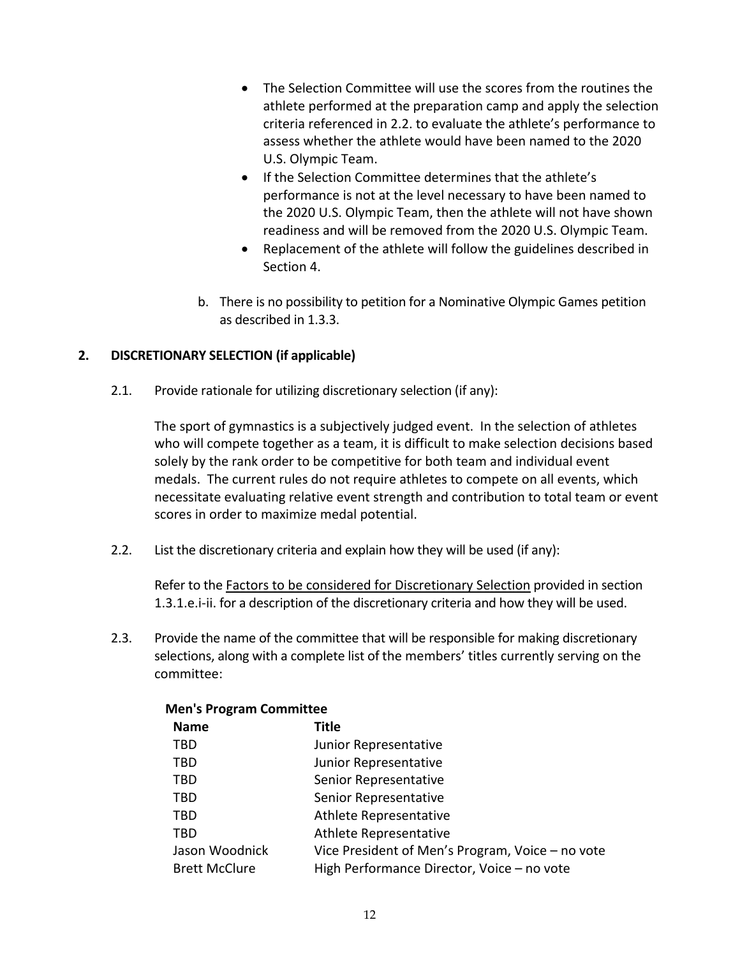- The Selection Committee will use the scores from the routines the athlete performed at the preparation camp and apply the selection criteria referenced in 2.2. to evaluate the athlete's performance to assess whether the athlete would have been named to the 2020 U.S. Olympic Team.
- If the Selection Committee determines that the athlete's performance is not at the level necessary to have been named to the 2020 U.S. Olympic Team, then the athlete will not have shown readiness and will be removed from the 2020 U.S. Olympic Team.
- Replacement of the athlete will follow the guidelines described in Section 4.
- b. There is no possibility to petition for a Nominative Olympic Games petition as described in 1.3.3.

## **2. DISCRETIONARY SELECTION (if applicable)**

2.1. Provide rationale for utilizing discretionary selection (if any):

The sport of gymnastics is a subjectively judged event. In the selection of athletes who will compete together as a team, it is difficult to make selection decisions based solely by the rank order to be competitive for both team and individual event medals. The current rules do not require athletes to compete on all events, which necessitate evaluating relative event strength and contribution to total team or event scores in order to maximize medal potential.

2.2. List the discretionary criteria and explain how they will be used (if any):

Refer to the Factors to be considered for Discretionary Selection provided in section 1.3.1.e.i-ii. for a description of the discretionary criteria and how they will be used.

2.3. Provide the name of the committee that will be responsible for making discretionary selections, along with a complete list of the members' titles currently serving on the committee:

| ivien s Program Committee                        |  |  |  |
|--------------------------------------------------|--|--|--|
| Title                                            |  |  |  |
| Junior Representative                            |  |  |  |
| Junior Representative                            |  |  |  |
| Senior Representative                            |  |  |  |
| Senior Representative                            |  |  |  |
| Athlete Representative                           |  |  |  |
| Athlete Representative                           |  |  |  |
| Vice President of Men's Program, Voice - no vote |  |  |  |
| High Performance Director, Voice - no vote       |  |  |  |
|                                                  |  |  |  |

# **Men's Program Committee**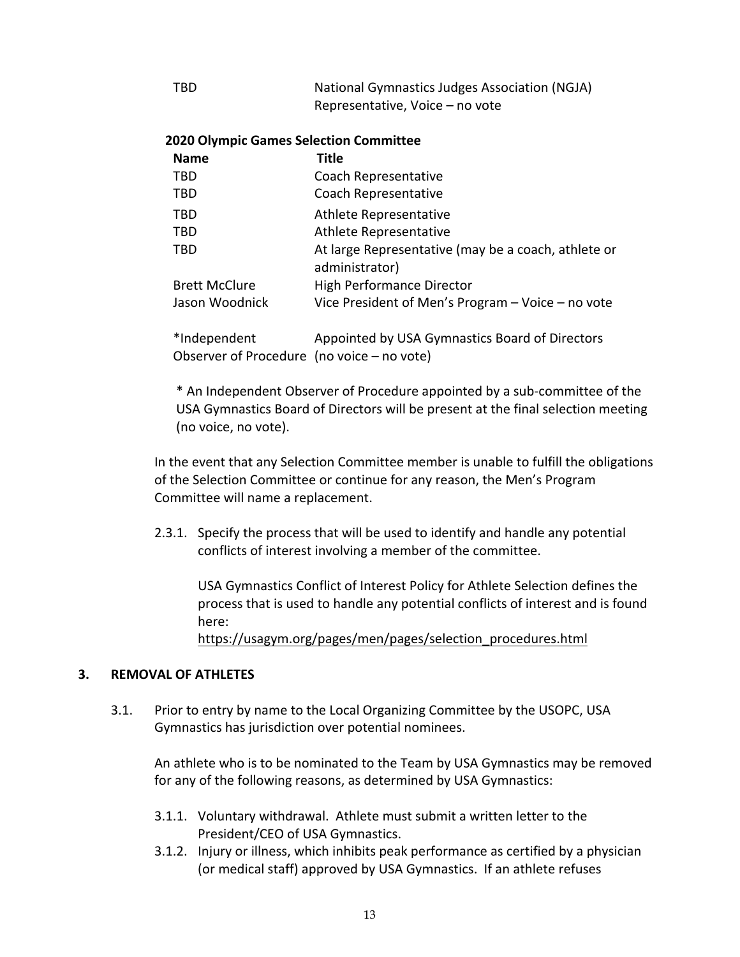| TBD | National Gymnastics Judges Association (NGJA) |
|-----|-----------------------------------------------|
|     | Representative, Voice – no vote               |

### **2020 Olympic Games Selection Committee**

| <b>Name</b>          | Title                                                                 |
|----------------------|-----------------------------------------------------------------------|
| <b>TBD</b>           | Coach Representative                                                  |
| <b>TBD</b>           | Coach Representative                                                  |
| <b>TBD</b>           | Athlete Representative                                                |
| <b>TBD</b>           | Athlete Representative                                                |
| <b>TBD</b>           | At large Representative (may be a coach, athlete or<br>administrator) |
| <b>Brett McClure</b> | <b>High Performance Director</b>                                      |
| Jason Woodnick       | Vice President of Men's Program $-$ Voice $-$ no vote                 |
| $*Indonondont$       | Annointed by LICA Cymnaetics Board of Directors                       |

'Independent Observer of Procedure (no voice – no vote) Appointed by USA Gymnastics Board of Directors

\* An Independent Observer of Procedure appointed by a sub-committee of the USA Gymnastics Board of Directors will be present at the final selection meeting (no voice, no vote).

In the event that any Selection Committee member is unable to fulfill the obligations of the Selection Committee or continue for any reason, the Men's Program Committee will name a replacement.

2.3.1. Specify the process that will be used to identify and handle any potential conflicts of interest involving a member of the committee.

USA Gymnastics Conflict of Interest Policy for Athlete Selection defines the process that is used to handle any potential conflicts of interest and is found here:

https://usagym.org/pages/men/pages/selection\_procedures.html

### **3. REMOVAL OF ATHLETES**

3.1. Prior to entry by name to the Local Organizing Committee by the USOPC, USA Gymnastics has jurisdiction over potential nominees.

An athlete who is to be nominated to the Team by USA Gymnastics may be removed for any of the following reasons, as determined by USA Gymnastics:

- 3.1.1. Voluntary withdrawal. Athlete must submit a written letter to the President/CEO of USA Gymnastics.
- 3.1.2. Injury or illness, which inhibits peak performance as certified by a physician (or medical staff) approved by USA Gymnastics. If an athlete refuses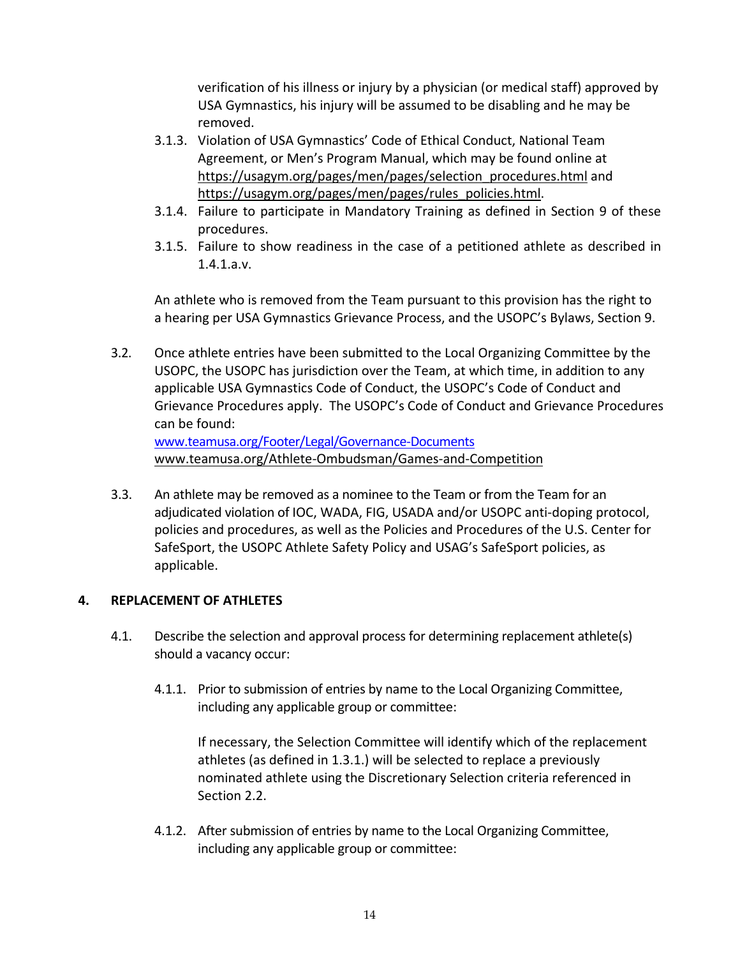verification of his illness or injury by a physician (or medical staff) approved by USA Gymnastics, his injury will be assumed to be disabling and he may be removed.

- 3.1.3. Violation of USA Gymnastics' Code of Ethical Conduct, National Team Agreement, or Men's Program Manual, which may be found online at https://usagym.org/pages/men/pages/selection\_procedures.html and https://usagym.org/pages/men/pages/rules\_policies.html.
- 3.1.4. Failure to participate in Mandatory Training as defined in Section 9 of these procedures.
- 3.1.5. Failure to show readiness in the case of a petitioned athlete as described in 1.4.1.a.v.

An athlete who is removed from the Team pursuant to this provision has the right to a hearing per USA Gymnastics Grievance Process, and the USOPC's Bylaws, Section 9.

- 3.2. Once athlete entries have been submitted to the Local Organizing Committee by the USOPC, the USOPC has jurisdiction over the Team, at which time, in addition to any applicable USA Gymnastics Code of Conduct, the USOPC's Code of Conduct and Grievance Procedures apply. The USOPC's Code of Conduct and Grievance Procedures can be found: www.teamusa.org/Footer/Legal/Governance-Documents www.teamusa.org/Athlete-Ombudsman/Games-and-Competition
- 3.3. An athlete may be removed as a nominee to the Team or from the Team for an adjudicated violation of IOC, WADA, FIG, USADA and/or USOPC anti-doping protocol, policies and procedures, as well as the Policies and Procedures of the U.S. Center for SafeSport, the USOPC Athlete Safety Policy and USAG's SafeSport policies, as applicable.

## **4. REPLACEMENT OF ATHLETES**

- 4.1. Describe the selection and approval process for determining replacement athlete(s) should a vacancy occur:
	- 4.1.1. Prior to submission of entries by name to the Local Organizing Committee, including any applicable group or committee:

If necessary, the Selection Committee will identify which of the replacement athletes (as defined in 1.3.1.) will be selected to replace a previously nominated athlete using the Discretionary Selection criteria referenced in Section 2.2.

4.1.2. After submission of entries by name to the Local Organizing Committee, including any applicable group or committee: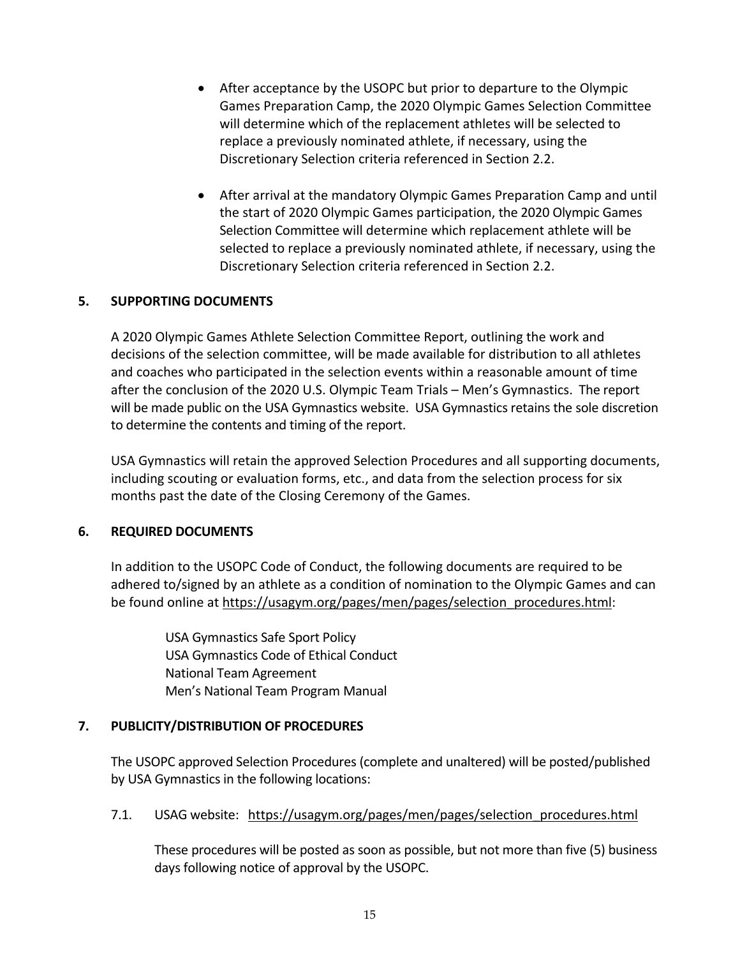- After acceptance by the USOPC but prior to departure to the Olympic Games Preparation Camp, the 2020 Olympic Games Selection Committee will determine which of the replacement athletes will be selected to replace a previously nominated athlete, if necessary, using the Discretionary Selection criteria referenced in Section 2.2.
- After arrival at the mandatory Olympic Games Preparation Camp and until the start of 2020 Olympic Games participation, the 2020 Olympic Games Selection Committee will determine which replacement athlete will be selected to replace a previously nominated athlete, if necessary, using the Discretionary Selection criteria referenced in Section 2.2.

### **5. SUPPORTING DOCUMENTS**

A 2020 Olympic Games Athlete Selection Committee Report, outlining the work and decisions of the selection committee, will be made available for distribution to all athletes and coaches who participated in the selection events within a reasonable amount of time after the conclusion of the 2020 U.S. Olympic Team Trials – Men's Gymnastics. The report will be made public on the USA Gymnastics website. USA Gymnastics retains the sole discretion to determine the contents and timing of the report.

USA Gymnastics will retain the approved Selection Procedures and all supporting documents, including scouting or evaluation forms, etc., and data from the selection process for six months past the date of the Closing Ceremony of the Games.

### **6. REQUIRED DOCUMENTS**

In addition to the USOPC Code of Conduct, the following documents are required to be adhered to/signed by an athlete as a condition of nomination to the Olympic Games and can be found online at https://usagym.org/pages/men/pages/selection\_procedures.html:

USA Gymnastics Safe Sport Policy USA Gymnastics Code of Ethical Conduct National Team Agreement Men's National Team Program Manual

### **7. PUBLICITY/DISTRIBUTION OF PROCEDURES**

The USOPC approved Selection Procedures (complete and unaltered) will be posted/published by USA Gymnastics in the following locations:

### 7.1. USAG website: https://usagym.org/pages/men/pages/selection\_procedures.html

These procedures will be posted as soon as possible, but not more than five (5) business days following notice of approval by the USOPC.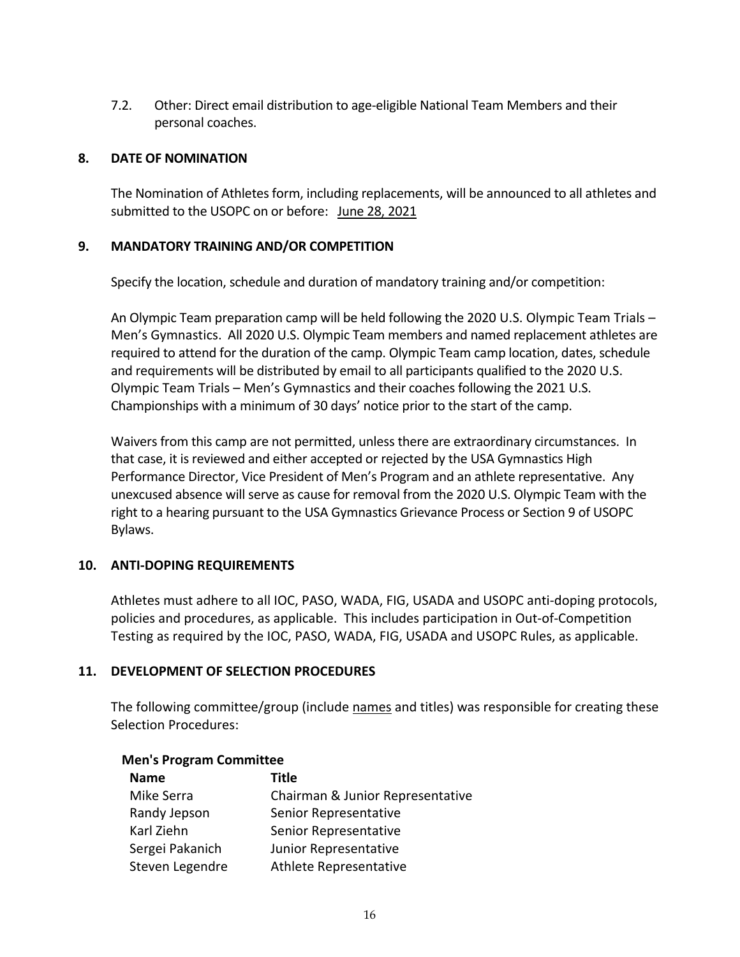7.2. Other: Direct email distribution to age-eligible National Team Members and their personal coaches.

### **8. DATE OF NOMINATION**

The Nomination of Athletes form, including replacements, will be announced to all athletes and submitted to the USOPC on or before: June 28, 2021

### **9. MANDATORY TRAINING AND/OR COMPETITION**

Specify the location, schedule and duration of mandatory training and/or competition:

An Olympic Team preparation camp will be held following the 2020 U.S. Olympic Team Trials – Men's Gymnastics. All 2020 U.S. Olympic Team members and named replacement athletes are required to attend for the duration of the camp. Olympic Team camp location, dates, schedule and requirements will be distributed by email to all participants qualified to the 2020 U.S. Olympic Team Trials – Men's Gymnastics and their coaches following the 2021 U.S. Championships with a minimum of 30 days' notice prior to the start of the camp.

Waivers from this camp are not permitted, unless there are extraordinary circumstances. In that case, it is reviewed and either accepted or rejected by the USA Gymnastics High Performance Director, Vice President of Men's Program and an athlete representative. Any unexcused absence will serve as cause for removal from the 2020 U.S. Olympic Team with the right to a hearing pursuant to the USA Gymnastics Grievance Process or Section 9 of USOPC Bylaws.

## **10. ANTI-DOPING REQUIREMENTS**

Athletes must adhere to all IOC, PASO, WADA, FIG, USADA and USOPC anti-doping protocols, policies and procedures, as applicable. This includes participation in Out-of-Competition Testing as required by the IOC, PASO, WADA, FIG, USADA and USOPC Rules, as applicable.

### **11. DEVELOPMENT OF SELECTION PROCEDURES**

The following committee/group (include names and titles) was responsible for creating these Selection Procedures:

| <b>Name</b>     | Title                            |
|-----------------|----------------------------------|
| Mike Serra      | Chairman & Junior Representative |
| Randy Jepson    | Senior Representative            |
| Karl Ziehn      | Senior Representative            |
| Sergei Pakanich | Junior Representative            |
| Steven Legendre | Athlete Representative           |

# **Men's Program Committee**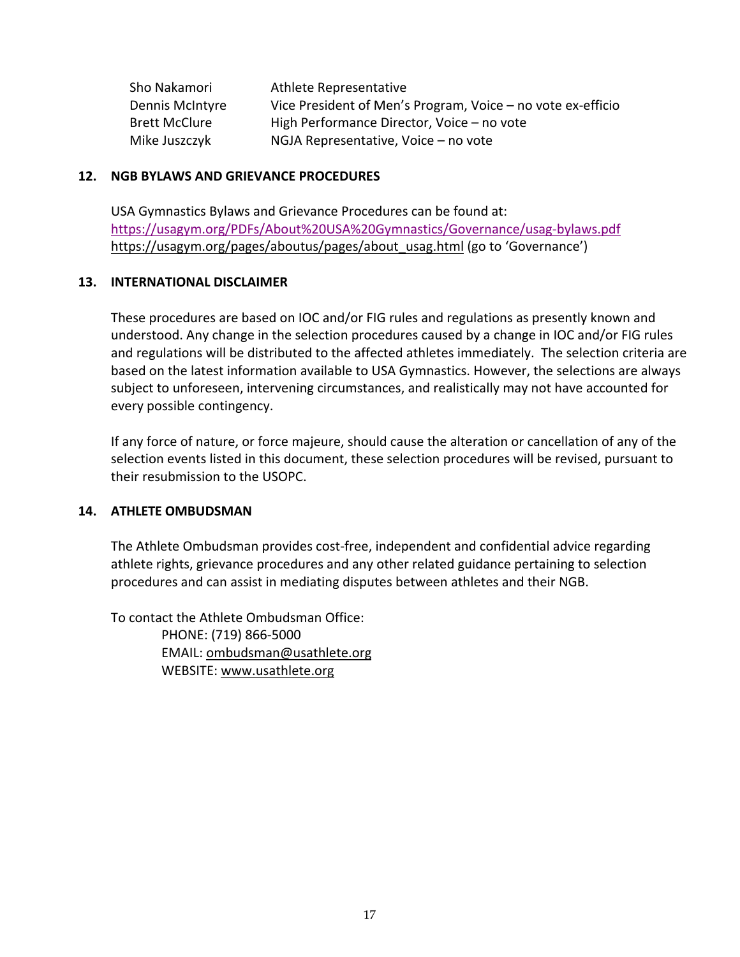| Sho Nakamori         | Athlete Representative                                      |
|----------------------|-------------------------------------------------------------|
| Dennis McIntyre      | Vice President of Men's Program, Voice – no vote ex-efficio |
| <b>Brett McClure</b> | High Performance Director, Voice - no vote                  |
| Mike Juszczyk        | NGJA Representative, Voice - no vote                        |

#### **12. NGB BYLAWS AND GRIEVANCE PROCEDURES**

USA Gymnastics Bylaws and Grievance Procedures can be found at: https://usagym.org/PDFs/About%20USA%20Gymnastics/Governance/usag-bylaws.pdf https://usagym.org/pages/aboutus/pages/about\_usag.html (go to 'Governance')

#### **13. INTERNATIONAL DISCLAIMER**

These procedures are based on IOC and/or FIG rules and regulations as presently known and understood. Any change in the selection procedures caused by a change in IOC and/or FIG rules and regulations will be distributed to the affected athletes immediately. The selection criteria are based on the latest information available to USA Gymnastics. However, the selections are always subject to unforeseen, intervening circumstances, and realistically may not have accounted for every possible contingency.

If any force of nature, or force majeure, should cause the alteration or cancellation of any of the selection events listed in this document, these selection procedures will be revised, pursuant to their resubmission to the USOPC.

### **14. ATHLETE OMBUDSMAN**

The Athlete Ombudsman provides cost-free, independent and confidential advice regarding athlete rights, grievance procedures and any other related guidance pertaining to selection procedures and can assist in mediating disputes between athletes and their NGB.

To contact the Athlete Ombudsman Office: PHONE: (719) 866-5000 EMAIL: ombudsman@usathlete.org WEBSITE: www.usathlete.org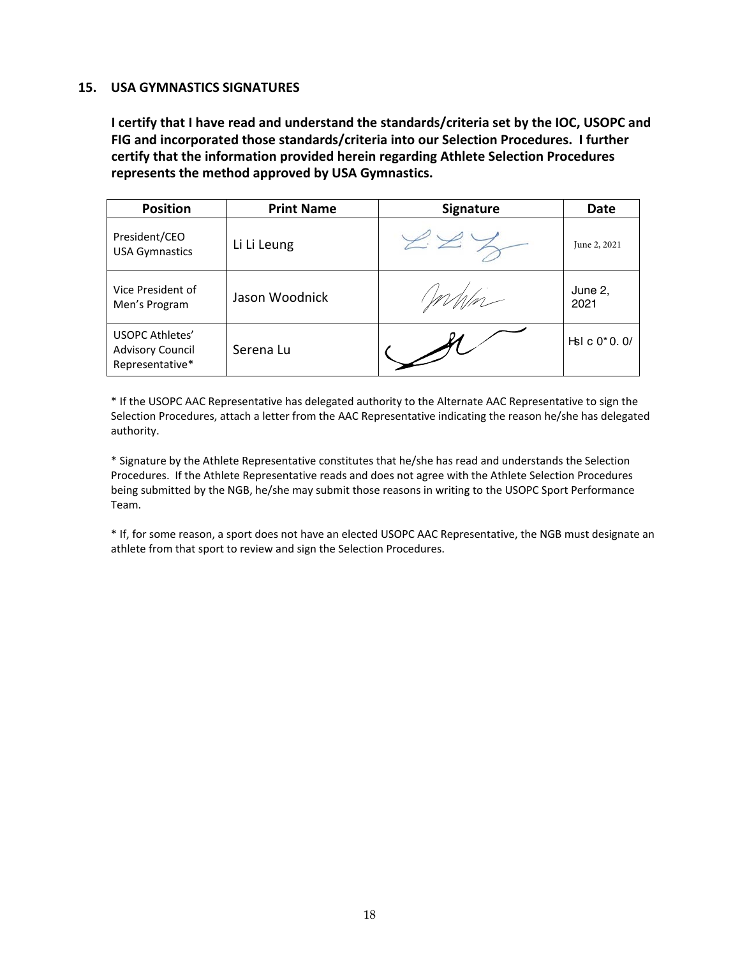#### **15. USA GYMNASTICS SIGNATURES**

**I certify that I have read and understand the standards/criteria set by the IOC, USOPC and FIG and incorporated those standards/criteria into our Selection Procedures. I further certify that the information provided herein regarding Athlete Selection Procedures represents the method approved by USA Gymnastics.**

| <b>Position</b>                                                      | <b>Print Name</b> | <b>Signature</b> | Date                        |
|----------------------------------------------------------------------|-------------------|------------------|-----------------------------|
| President/CEO<br><b>USA Gymnastics</b>                               | Li Li Leung       |                  | June 2, 2021                |
| Vice President of<br>Men's Program                                   | Jason Woodnick    |                  | June 2,<br>2021             |
| <b>USOPC Athletes'</b><br><b>Advisory Council</b><br>Representative* | Serena Lu         |                  | $H\ddot{\theta}$ c $0*0.0/$ |

\* If the USOPC AAC Representative has delegated authority to the Alternate AAC Representative to sign the Selection Procedures, attach a letter from the AAC Representative indicating the reason he/she has delegated authority.

\* Signature by the Athlete Representative constitutes that he/she has read and understands the Selection Procedures. If the Athlete Representative reads and does not agree with the Athlete Selection Procedures being submitted by the NGB, he/she may submit those reasons in writing to the USOPC Sport Performance Team.

\* If, for some reason, a sport does not have an elected USOPC AAC Representative, the NGB must designate an athlete from that sport to review and sign the Selection Procedures.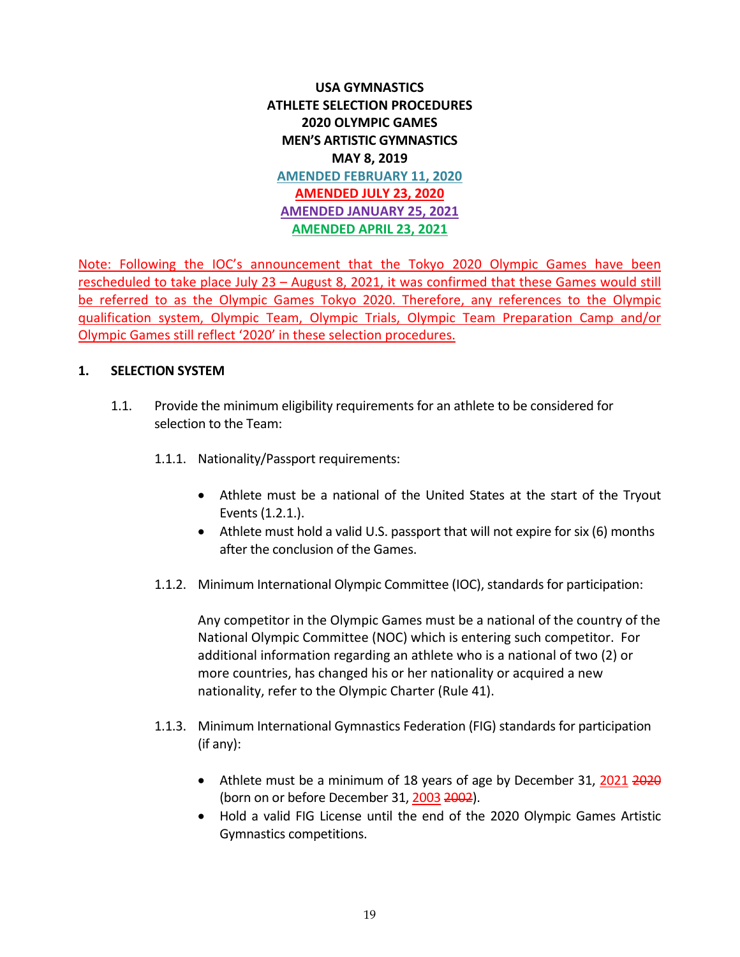# **USA GYMNASTICS ATHLETE SELECTION PROCEDURES 2020 OLYMPIC GAMES MEN'S ARTISTIC GYMNASTICS MAY 8, 2019 AMENDED FEBRUARY 11, 2020 AMENDED JULY 23, 2020 AMENDED JANUARY 25, 2021 AMENDED APRIL 23, 2021**

Note: Following the IOC's announcement that the Tokyo 2020 Olympic Games have been rescheduled to take place July 23 – August 8, 2021, it was confirmed that these Games would still be referred to as the Olympic Games Tokyo 2020. Therefore, any references to the Olympic qualification system, Olympic Team, Olympic Trials, Olympic Team Preparation Camp and/or Olympic Games still reflect '2020' in these selection procedures.

### **1. SELECTION SYSTEM**

- 1.1. Provide the minimum eligibility requirements for an athlete to be considered for selection to the Team:
	- 1.1.1. Nationality/Passport requirements:
		- Athlete must be a national of the United States at the start of the Tryout Events (1.2.1.).
		- Athlete must hold a valid U.S. passport that will not expire for six (6) months after the conclusion of the Games.
	- 1.1.2. Minimum International Olympic Committee (IOC), standards for participation:

Any competitor in the Olympic Games must be a national of the country of the National Olympic Committee (NOC) which is entering such competitor. For additional information regarding an athlete who is a national of two (2) or more countries, has changed his or her nationality or acquired a new nationality, refer to the Olympic Charter (Rule 41).

- 1.1.3. Minimum International Gymnastics Federation (FIG) standards for participation (if any):
	- Athlete must be a minimum of 18 years of age by December 31, 2021 2020 (born on or before December 31, 2003 2002).
	- Hold a valid FIG License until the end of the 2020 Olympic Games Artistic Gymnastics competitions.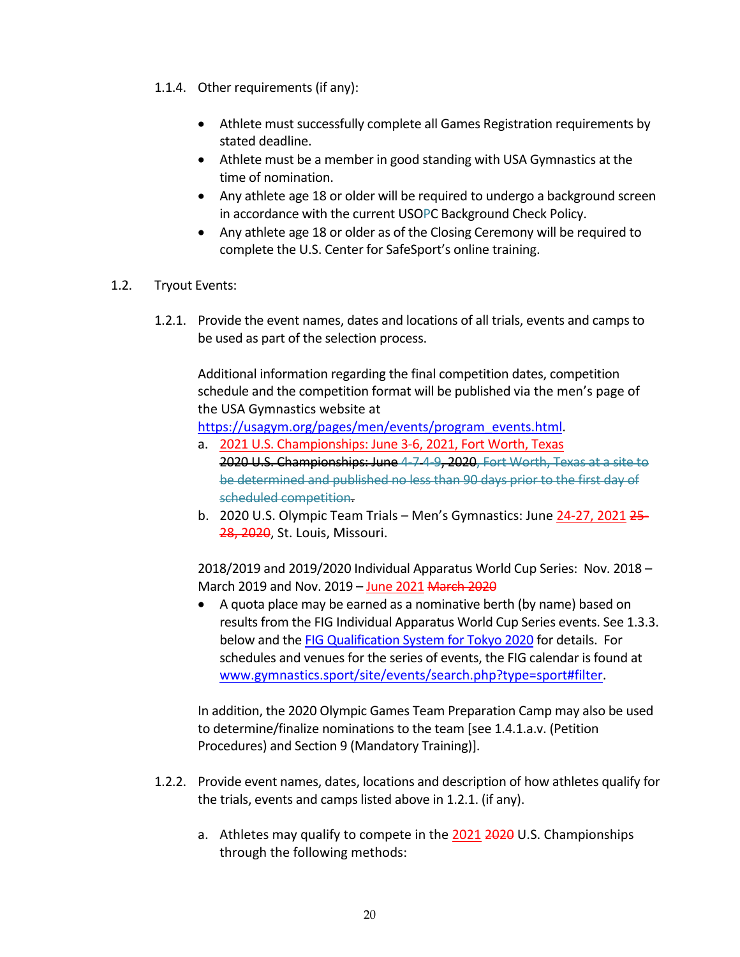- 1.1.4. Other requirements (if any):
	- Athlete must successfully complete all Games Registration requirements by stated deadline.
	- Athlete must be a member in good standing with USA Gymnastics at the time of nomination.
	- Any athlete age 18 or older will be required to undergo a background screen in accordance with the current USOPC Background Check Policy.
	- Any athlete age 18 or older as of the Closing Ceremony will be required to complete the U.S. Center for SafeSport's online training.
- 1.2. Tryout Events:
	- 1.2.1. Provide the event names, dates and locations of all trials, events and camps to be used as part of the selection process.

Additional information regarding the final competition dates, competition schedule and the competition format will be published via the men's page of the USA Gymnastics website at

https://usagym.org/pages/men/events/program\_events.html.

- a. 2021 U.S. Championships: June 3-6, 2021, Fort Worth, Texas 2020 U.S. Championships: June 4-7 4-9, 2020, Fort Worth, Texas at a site to be determined and published no less than 90 days prior to the first day of scheduled competition.
- b. 2020 U.S. Olympic Team Trials Men's Gymnastics: June 24-27, 2021 25- 28, 2020, St. Louis, Missouri.

2018/2019 and 2019/2020 Individual Apparatus World Cup Series: Nov. 2018 – March 2019 and Nov. 2019 – June 2021 March 2020

• A quota place may be earned as a nominative berth (by name) based on results from the FIG Individual Apparatus World Cup Series events. See 1.3.3. below and the FIG Qualification System for Tokyo 2020 for details. For schedules and venues for the series of events, the FIG calendar is found at www.gymnastics.sport/site/events/search.php?type=sport#filter.

In addition, the 2020 Olympic Games Team Preparation Camp may also be used to determine/finalize nominations to the team [see 1.4.1.a.v. (Petition Procedures) and Section 9 (Mandatory Training)].

- 1.2.2. Provide event names, dates, locations and description of how athletes qualify for the trials, events and camps listed above in 1.2.1. (if any).
	- a. Athletes may qualify to compete in the 2021 2020 U.S. Championships through the following methods: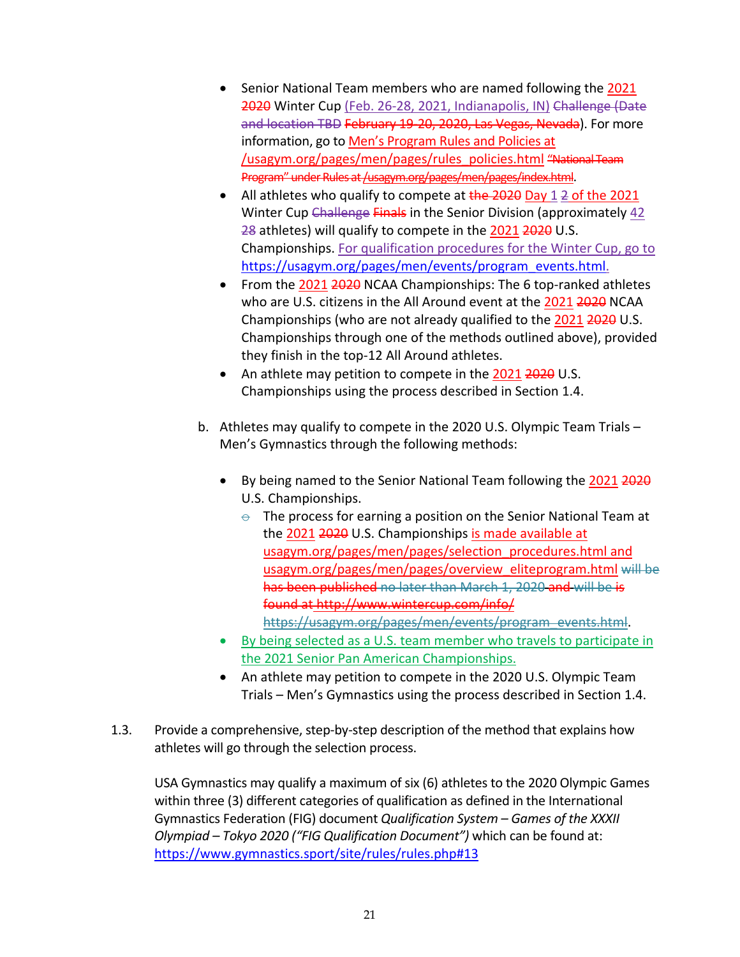- Senior National Team members who are named following the 2021 2020 Winter Cup (Feb. 26-28, 2021, Indianapolis, IN) Challenge (Date and location TBD February 19-20, 2020, Las Vegas, Nevada). For more information, go to Men's Program Rules and Policies at /usagym.org/pages/men/pages/rules\_policies.html "National Team Program" under Rules at /usagym.org/pages/men/pages/index.html.
- All athletes who qualify to compete at  $\frac{1}{2020}$  Day 1  $\frac{2}{2}$  of the 2021 Winter Cup Challenge Finals in the Senior Division (approximately 42 28 athletes) will qualify to compete in the 2021 2020 U.S. Championships. For qualification procedures for the Winter Cup, go to https://usagym.org/pages/men/events/program\_events.html.
- From the 2021 2020 NCAA Championships: The 6 top-ranked athletes who are U.S. citizens in the All Around event at the 2021 2020 NCAA Championships (who are not already qualified to the 2021 2020 U.S. Championships through one of the methods outlined above), provided they finish in the top-12 All Around athletes.
- An athlete may petition to compete in the 2021 2020 U.S. Championships using the process described in Section 1.4.
- b. Athletes may qualify to compete in the 2020 U.S. Olympic Team Trials Men's Gymnastics through the following methods:
	- By being named to the Senior National Team following the 2021 2020 U.S. Championships.
		- $\theta$  The process for earning a position on the Senior National Team at the 2021 2020 U.S. Championships is made available at usagym.org/pages/men/pages/selection\_procedures.html and usagym.org/pages/men/pages/overview\_eliteprogram.html will be has been published no later than March 1, 2020 and will be is found at http://www.wintercup.com/info/ https://usagym.org/pages/men/events/program\_events.html.
	- By being selected as a U.S. team member who travels to participate in the 2021 Senior Pan American Championships.
	- An athlete may petition to compete in the 2020 U.S. Olympic Team Trials – Men's Gymnastics using the process described in Section 1.4.
- 1.3. Provide a comprehensive, step-by-step description of the method that explains how athletes will go through the selection process.

USA Gymnastics may qualify a maximum of six (6) athletes to the 2020 Olympic Games within three (3) different categories of qualification as defined in the International Gymnastics Federation (FIG) document *Qualification System – Games of the XXXII Olympiad – Tokyo 2020 ("FIG Qualification Document")* which can be found at: https://www.gymnastics.sport/site/rules/rules.php#13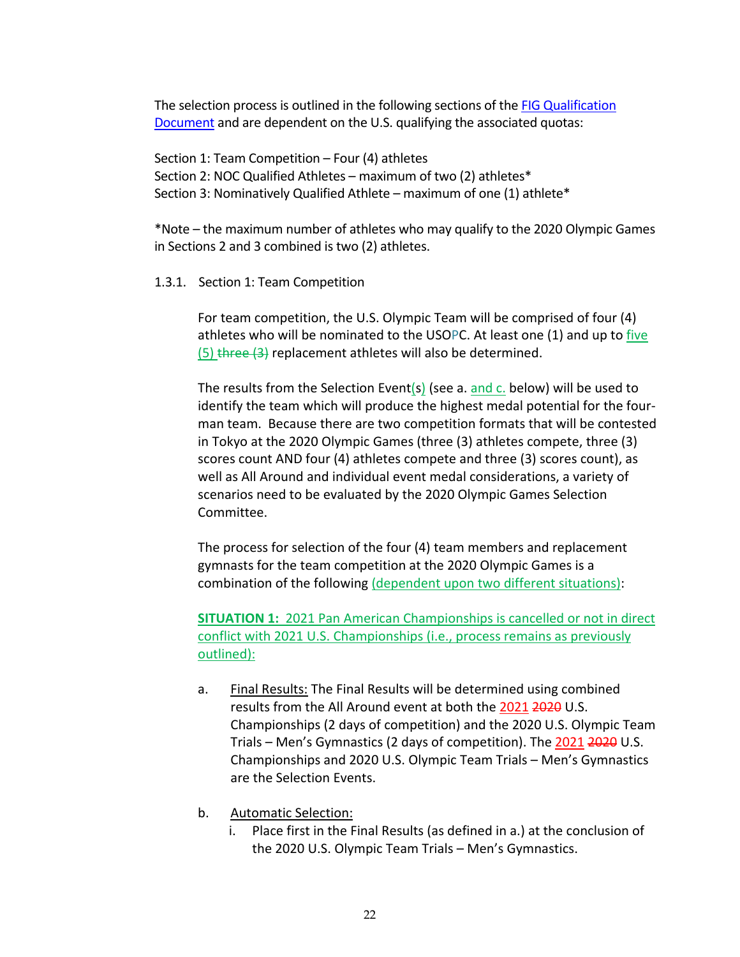The selection process is outlined in the following sections of the FIG Qualification Document and are dependent on the U.S. qualifying the associated quotas:

Section 1: Team Competition – Four (4) athletes Section 2: NOC Qualified Athletes – maximum of two (2) athletes\* Section 3: Nominatively Qualified Athlete – maximum of one (1) athlete\*

\*Note – the maximum number of athletes who may qualify to the 2020 Olympic Games in Sections 2 and 3 combined is two (2) athletes.

### 1.3.1. Section 1: Team Competition

For team competition, the U.S. Olympic Team will be comprised of four (4) athletes who will be nominated to the USOPC. At least one (1) and up to five  $(5)$  three  $(3)$  replacement athletes will also be determined.

The results from the Selection Event(s) (see a.  $\frac{\text{and } c}{\text{in}}$  below) will be used to identify the team which will produce the highest medal potential for the fourman team. Because there are two competition formats that will be contested in Tokyo at the 2020 Olympic Games (three (3) athletes compete, three (3) scores count AND four (4) athletes compete and three (3) scores count), as well as All Around and individual event medal considerations, a variety of scenarios need to be evaluated by the 2020 Olympic Games Selection Committee.

The process for selection of the four (4) team members and replacement gymnasts for the team competition at the 2020 Olympic Games is a combination of the following (dependent upon two different situations):

**SITUATION 1:** 2021 Pan American Championships is cancelled or not in direct conflict with 2021 U.S. Championships (i.e., process remains as previously outlined):

- a. Final Results: The Final Results will be determined using combined results from the All Around event at both the 2021 2020 U.S. Championships (2 days of competition) and the 2020 U.S. Olympic Team Trials – Men's Gymnastics (2 days of competition). The 2021 2020 U.S. Championships and 2020 U.S. Olympic Team Trials – Men's Gymnastics are the Selection Events.
- b. Automatic Selection:
	- i. Place first in the Final Results (as defined in a.) at the conclusion of the 2020 U.S. Olympic Team Trials – Men's Gymnastics.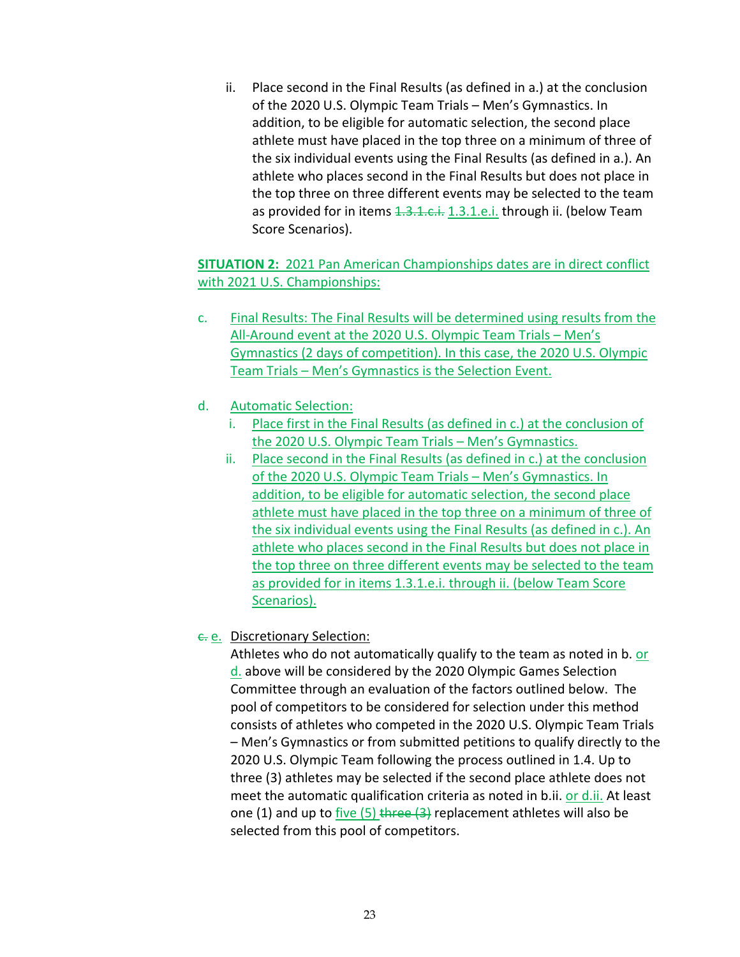ii. Place second in the Final Results (as defined in a.) at the conclusion of the 2020 U.S. Olympic Team Trials – Men's Gymnastics. In addition, to be eligible for automatic selection, the second place athlete must have placed in the top three on a minimum of three of the six individual events using the Final Results (as defined in a.). An athlete who places second in the Final Results but does not place in the top three on three different events may be selected to the team as provided for in items 1.3.1.c.i. 1.3.1.e.i. through ii. (below Team Score Scenarios).

# **SITUATION 2:** 2021 Pan American Championships dates are in direct conflict with 2021 U.S. Championships:

- c. Final Results: The Final Results will be determined using results from the All-Around event at the 2020 U.S. Olympic Team Trials – Men's Gymnastics (2 days of competition). In this case, the 2020 U.S. Olympic Team Trials – Men's Gymnastics is the Selection Event.
- d. Automatic Selection:
	- i. Place first in the Final Results (as defined in c.) at the conclusion of the 2020 U.S. Olympic Team Trials – Men's Gymnastics.
	- ii. Place second in the Final Results (as defined in c.) at the conclusion of the 2020 U.S. Olympic Team Trials – Men's Gymnastics. In addition, to be eligible for automatic selection, the second place athlete must have placed in the top three on a minimum of three of the six individual events using the Final Results (as defined in c.). An athlete who places second in the Final Results but does not place in the top three on three different events may be selected to the team as provided for in items 1.3.1.e.i. through ii. (below Team Score Scenarios).

# c. e. Discretionary Selection:

Athletes who do not automatically qualify to the team as noted in b. or d. above will be considered by the 2020 Olympic Games Selection Committee through an evaluation of the factors outlined below. The pool of competitors to be considered for selection under this method consists of athletes who competed in the 2020 U.S. Olympic Team Trials – Men's Gymnastics or from submitted petitions to qualify directly to the 2020 U.S. Olympic Team following the process outlined in 1.4. Up to three (3) athletes may be selected if the second place athlete does not meet the automatic qualification criteria as noted in b.ii. or d.ii. At least one (1) and up to five (5) three  $(3)$  replacement athletes will also be selected from this pool of competitors.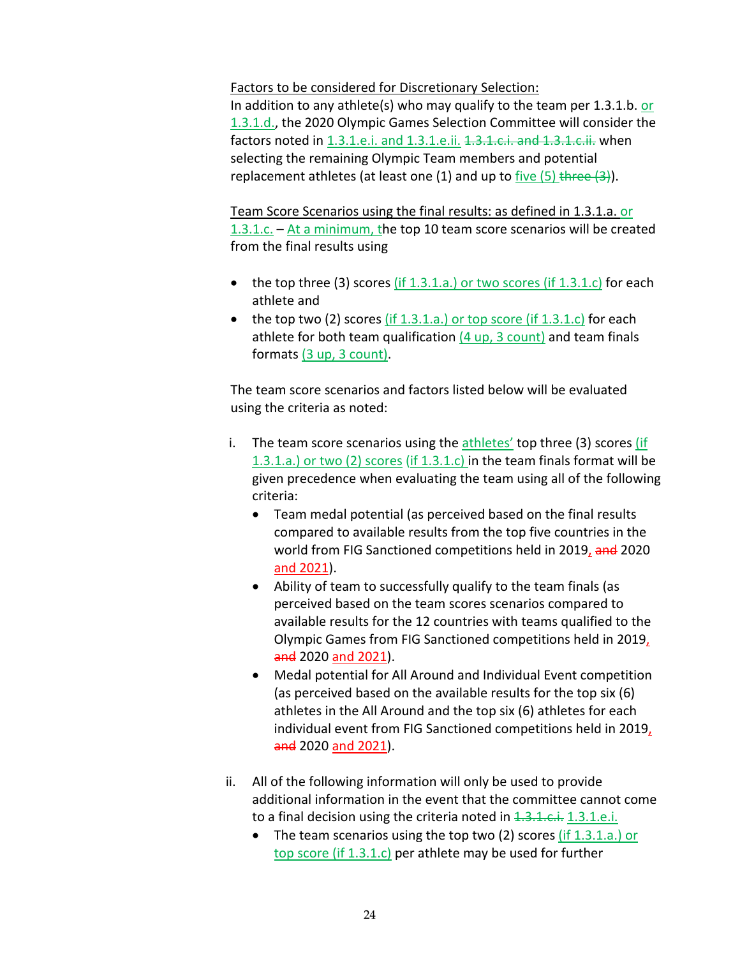Factors to be considered for Discretionary Selection:

In addition to any athlete(s) who may qualify to the team per  $1.3.1.b.$  or 1.3.1.d., the 2020 Olympic Games Selection Committee will consider the factors noted in 1.3.1.e.i. and 1.3.1.e.ii. 4.3.1.c.i. and 1.3.1.c.ii. when selecting the remaining Olympic Team members and potential replacement athletes (at least one (1) and up to five  $(5)$  three  $(3)$ ).

Team Score Scenarios using the final results: as defined in 1.3.1.a. or  $1.3.1.c.$  – At a minimum, the top 10 team score scenarios will be created from the final results using

- the top three (3) scores (if  $1.3.1.a$ .) or two scores (if  $1.3.1.c$ ) for each athlete and
- the top two (2) scores  $(if 1.3.1.a.)$  or top score (if  $1.3.1.c$ ) for each athlete for both team qualification  $(4 \text{ up}, 3 \text{ count})$  and team finals formats (3 up, 3 count).

The team score scenarios and factors listed below will be evaluated using the criteria as noted:

- i. The team score scenarios using the  $\frac{athlets'}{t}$  top three (3) scores (if 1.3.1.a.) or two (2) scores (if 1.3.1.c) in the team finals format will be given precedence when evaluating the team using all of the following criteria:
	- Team medal potential (as perceived based on the final results compared to available results from the top five countries in the world from FIG Sanctioned competitions held in 2019, and 2020 and 2021).
	- Ability of team to successfully qualify to the team finals (as perceived based on the team scores scenarios compared to available results for the 12 countries with teams qualified to the Olympic Games from FIG Sanctioned competitions held in 2019, and 2020 and 2021).
	- Medal potential for All Around and Individual Event competition (as perceived based on the available results for the top six (6) athletes in the All Around and the top six (6) athletes for each individual event from FIG Sanctioned competitions held in 2019, and 2020 and 2021).
- ii. All of the following information will only be used to provide additional information in the event that the committee cannot come to a final decision using the criteria noted in 1.3.1.c.i. 1.3.1.e.i.
	- The team scenarios using the top two (2) scores  $(f1.3.1.a.)$  or top score (if 1.3.1.c) per athlete may be used for further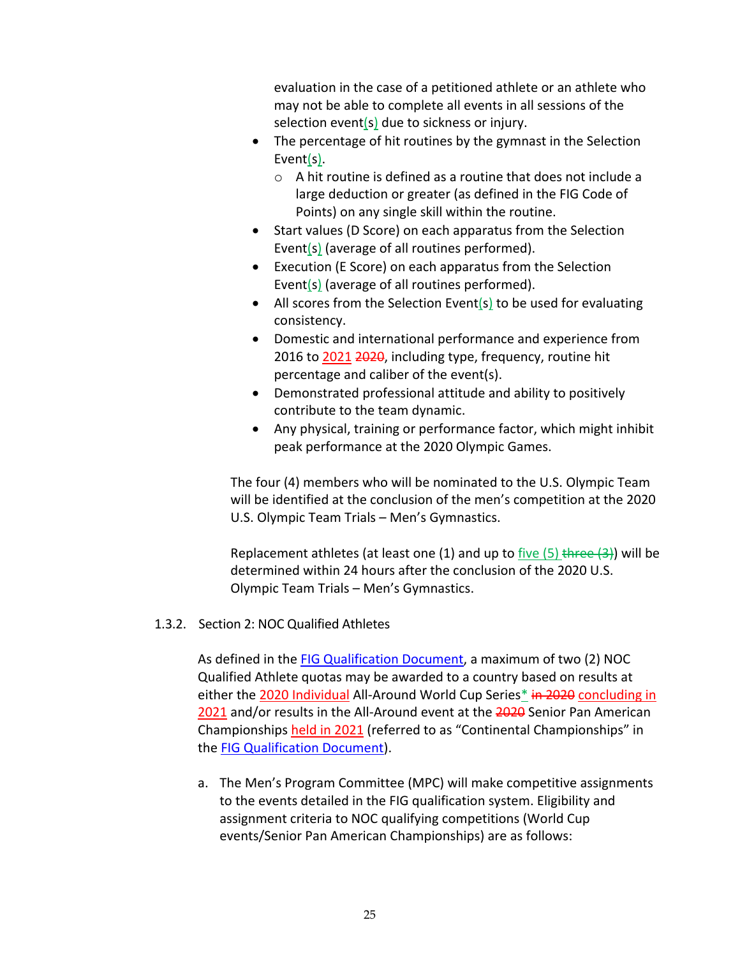evaluation in the case of a petitioned athlete or an athlete who may not be able to complete all events in all sessions of the selection event(s) due to sickness or injury.

- The percentage of hit routines by the gymnast in the Selection Event(s).
	- o A hit routine is defined as a routine that does not include a large deduction or greater (as defined in the FIG Code of Points) on any single skill within the routine.
- Start values (D Score) on each apparatus from the Selection Event(s) (average of all routines performed).
- Execution (E Score) on each apparatus from the Selection Event(s) (average of all routines performed).
- All scores from the Selection Event(s) to be used for evaluating consistency.
- Domestic and international performance and experience from 2016 to 2021 2020, including type, frequency, routine hit percentage and caliber of the event(s).
- Demonstrated professional attitude and ability to positively contribute to the team dynamic.
- Any physical, training or performance factor, which might inhibit peak performance at the 2020 Olympic Games.

The four (4) members who will be nominated to the U.S. Olympic Team will be identified at the conclusion of the men's competition at the 2020 U.S. Olympic Team Trials – Men's Gymnastics.

Replacement athletes (at least one  $(1)$  and up to five  $(5)$  three  $(3)$ ) will be determined within 24 hours after the conclusion of the 2020 U.S. Olympic Team Trials – Men's Gymnastics.

## 1.3.2. Section 2: NOC Qualified Athletes

As defined in the FIG Qualification Document, a maximum of two (2) NOC Qualified Athlete quotas may be awarded to a country based on results at either the 2020 Individual All-Around World Cup Series\* in 2020 concluding in 2021 and/or results in the All-Around event at the 2020 Senior Pan American Championships held in 2021 (referred to as "Continental Championships" in the FIG Qualification Document).

a. The Men's Program Committee (MPC) will make competitive assignments to the events detailed in the FIG qualification system. Eligibility and assignment criteria to NOC qualifying competitions (World Cup events/Senior Pan American Championships) are as follows: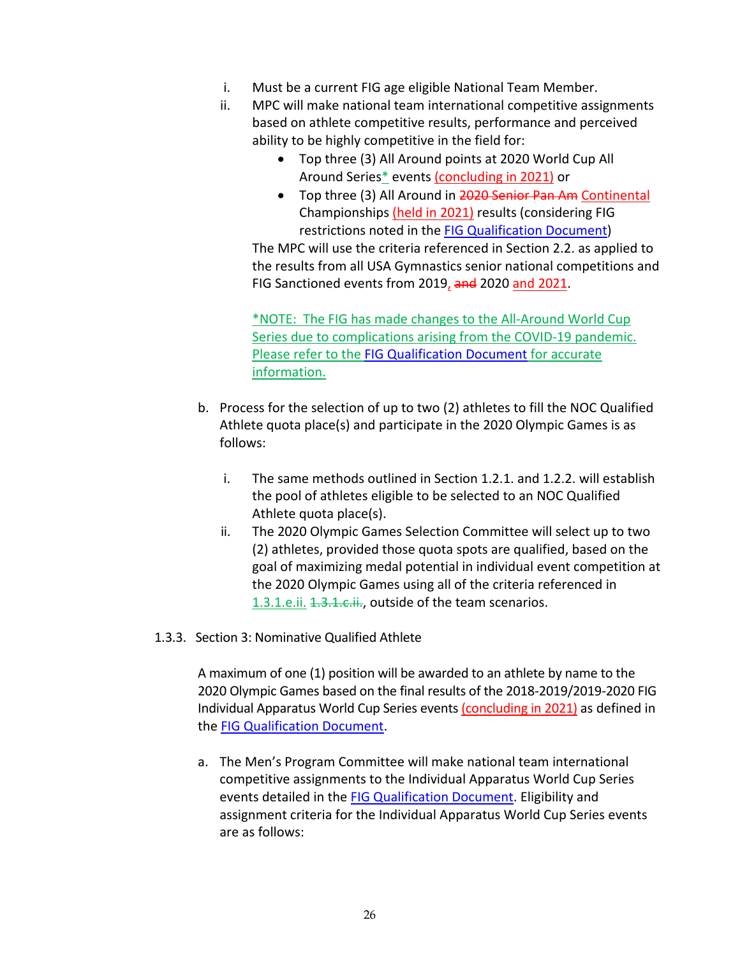- i. Must be a current FIG age eligible National Team Member.
- ii. MPC will make national team international competitive assignments based on athlete competitive results, performance and perceived ability to be highly competitive in the field for:
	- Top three (3) All Around points at 2020 World Cup All Around Series\* events (concluding in 2021) or
	- Top three (3) All Around in 2020 Senior Pan Am Continental Championships (held in 2021) results (considering FIG restrictions noted in the FIG Qualification Document)

The MPC will use the criteria referenced in Section 2.2. as applied to the results from all USA Gymnastics senior national competitions and FIG Sanctioned events from 2019, and 2020 and 2021.

\*NOTE: The FIG has made changes to the All-Around World Cup Series due to complications arising from the COVID-19 pandemic. Please refer to the FIG Qualification Document for accurate information.

- b. Process for the selection of up to two (2) athletes to fill the NOC Qualified Athlete quota place(s) and participate in the 2020 Olympic Games is as follows:
	- i. The same methods outlined in Section 1.2.1. and 1.2.2. will establish the pool of athletes eligible to be selected to an NOC Qualified Athlete quota place(s).
	- ii. The 2020 Olympic Games Selection Committee will select up to two (2) athletes, provided those quota spots are qualified, based on the goal of maximizing medal potential in individual event competition at the 2020 Olympic Games using all of the criteria referenced in 1.3.1.e.ii. 1.3.1.e.ii., outside of the team scenarios.
- 1.3.3. Section 3: Nominative Qualified Athlete

A maximum of one (1) position will be awarded to an athlete by name to the 2020 Olympic Games based on the final results of the 2018-2019/2019-2020 FIG Individual Apparatus World Cup Series events (concluding in 2021) as defined in the FIG Qualification Document.

a. The Men's Program Committee will make national team international competitive assignments to the Individual Apparatus World Cup Series events detailed in the **FIG Qualification Document**. Eligibility and assignment criteria for the Individual Apparatus World Cup Series events are as follows: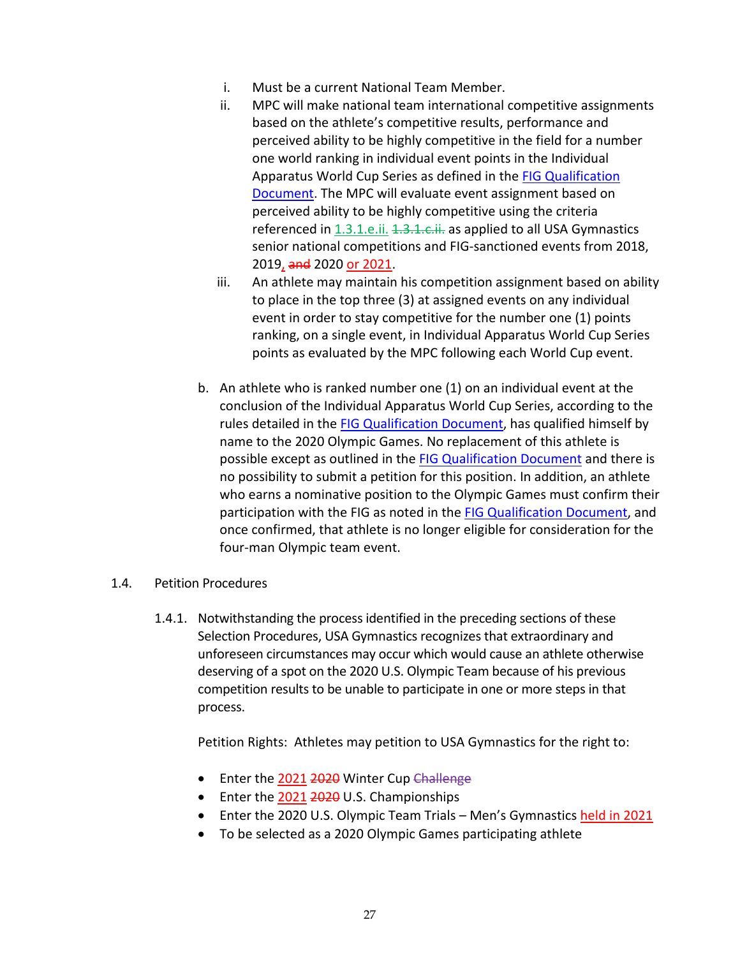- i. Must be a current National Team Member.
- ii. MPC will make national team international competitive assignments based on the athlete's competitive results, performance and perceived ability to be highly competitive in the field for a number one world ranking in individual event points in the Individual Apparatus World Cup Series as defined in the FIG Qualification Document. The MPC will evaluate event assignment based on perceived ability to be highly competitive using the criteria referenced in 1.3.1.e.ii. 1.3.1.c.ii. as applied to all USA Gymnastics senior national competitions and FIG-sanctioned events from 2018, 2019, and 2020 or 2021.
- iii. An athlete may maintain his competition assignment based on ability to place in the top three (3) at assigned events on any individual event in order to stay competitive for the number one (1) points ranking, on a single event, in Individual Apparatus World Cup Series points as evaluated by the MPC following each World Cup event.
- b. An athlete who is ranked number one (1) on an individual event at the conclusion of the Individual Apparatus World Cup Series, according to the rules detailed in the FIG Qualification Document, has qualified himself by name to the 2020 Olympic Games. No replacement of this athlete is possible except as outlined in the FIG Qualification Document and there is no possibility to submit a petition for this position. In addition, an athlete who earns a nominative position to the Olympic Games must confirm their participation with the FIG as noted in the FIG Qualification Document, and once confirmed, that athlete is no longer eligible for consideration for the four-man Olympic team event.
- 1.4. Petition Procedures
	- 1.4.1. Notwithstanding the process identified in the preceding sections of these Selection Procedures, USA Gymnastics recognizes that extraordinary and unforeseen circumstances may occur which would cause an athlete otherwise deserving of a spot on the 2020 U.S. Olympic Team because of his previous competition results to be unable to participate in one or more steps in that process.

Petition Rights: Athletes may petition to USA Gymnastics for the right to:

- Enter the 2021 2020 Winter Cup Challenge
- Enter the 2021 2020 U.S. Championships
- Enter the 2020 U.S. Olympic Team Trials Men's Gymnastics held in 2021
- To be selected as a 2020 Olympic Games participating athlete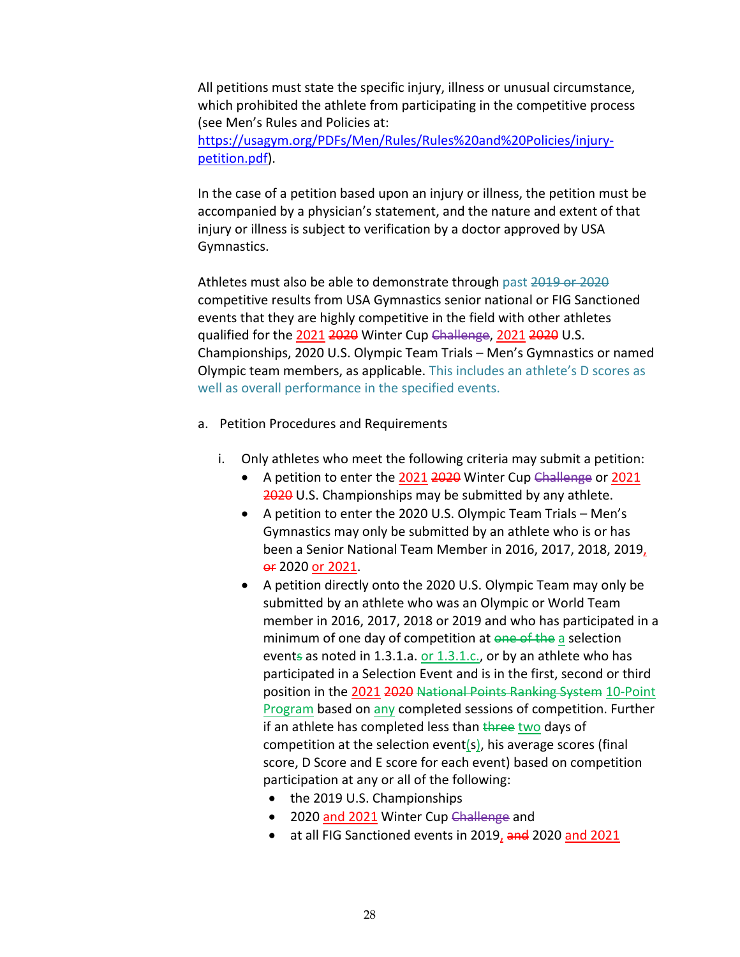All petitions must state the specific injury, illness or unusual circumstance, which prohibited the athlete from participating in the competitive process (see Men's Rules and Policies at: https://usagym.org/PDFs/Men/Rules/Rules%20and%20Policies/injurypetition.pdf).

In the case of a petition based upon an injury or illness, the petition must be accompanied by a physician's statement, and the nature and extent of that injury or illness is subject to verification by a doctor approved by USA Gymnastics.

Athletes must also be able to demonstrate through past 2019 or 2020 competitive results from USA Gymnastics senior national or FIG Sanctioned events that they are highly competitive in the field with other athletes qualified for the 2021 2020 Winter Cup Challenge, 2021 2020 U.S. Championships, 2020 U.S. Olympic Team Trials – Men's Gymnastics or named Olympic team members, as applicable. This includes an athlete's D scores as well as overall performance in the specified events.

- a. Petition Procedures and Requirements
	- i. Only athletes who meet the following criteria may submit a petition:
		- A petition to enter the 2021 2020 Winter Cup Challenge or 2021 2020 U.S. Championships may be submitted by any athlete.
		- A petition to enter the 2020 U.S. Olympic Team Trials Men's Gymnastics may only be submitted by an athlete who is or has been a Senior National Team Member in 2016, 2017, 2018, 2019, **ex** 2020 or 2021.
		- A petition directly onto the 2020 U.S. Olympic Team may only be submitted by an athlete who was an Olympic or World Team member in 2016, 2017, 2018 or 2019 and who has participated in a minimum of one day of competition at one of the a selection events as noted in 1.3.1.a. or  $1.3.1.c.,$  or by an athlete who has participated in a Selection Event and is in the first, second or third position in the 2021 2020 National Points Ranking System 10-Point **Program based on any completed sessions of competition. Further** if an athlete has completed less than three two days of competition at the selection event(s), his average scores (final score, D Score and E score for each event) based on competition participation at any or all of the following:
			- the 2019 U.S. Championships
			- 2020 and 2021 Winter Cup Challenge and
			- at all FIG Sanctioned events in 2019, and 2020 and 2021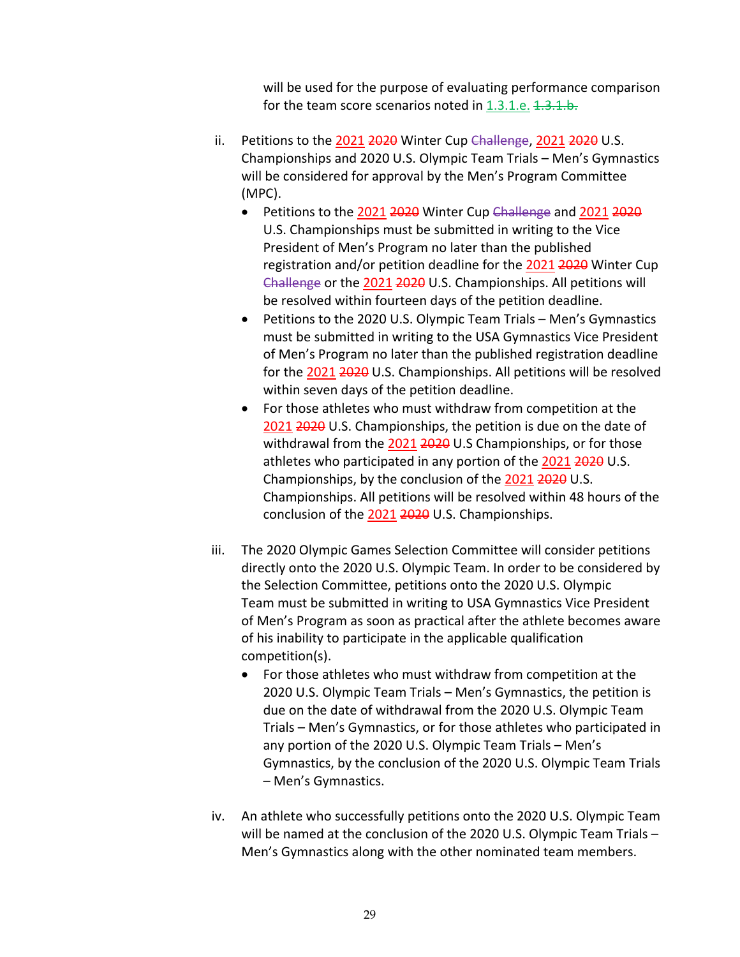will be used for the purpose of evaluating performance comparison for the team score scenarios noted in  $1.3.1.e.$   $1.3.1.b.$ 

- ii. Petitions to the 2021 2020 Winter Cup Challenge, 2021 2020 U.S. Championships and 2020 U.S. Olympic Team Trials – Men's Gymnastics will be considered for approval by the Men's Program Committee (MPC).
	- Petitions to the 2021 2020 Winter Cup Challenge and 2021 2020 U.S. Championships must be submitted in writing to the Vice President of Men's Program no later than the published registration and/or petition deadline for the 2021 2020 Winter Cup Challenge or the 2021 2020 U.S. Championships. All petitions will be resolved within fourteen days of the petition deadline.
	- Petitions to the 2020 U.S. Olympic Team Trials Men's Gymnastics must be submitted in writing to the USA Gymnastics Vice President of Men's Program no later than the published registration deadline for the 2021 2020 U.S. Championships. All petitions will be resolved within seven days of the petition deadline.
	- For those athletes who must withdraw from competition at the 2021 2020 U.S. Championships, the petition is due on the date of withdrawal from the 2021 2020 U.S Championships, or for those athletes who participated in any portion of the 2021 2020 U.S. Championships, by the conclusion of the 2021 2020 U.S. Championships. All petitions will be resolved within 48 hours of the conclusion of the 2021 2020 U.S. Championships.
- iii. The 2020 Olympic Games Selection Committee will consider petitions directly onto the 2020 U.S. Olympic Team. In order to be considered by the Selection Committee, petitions onto the 2020 U.S. Olympic Team must be submitted in writing to USA Gymnastics Vice President of Men's Program as soon as practical after the athlete becomes aware of his inability to participate in the applicable qualification competition(s).
	- For those athletes who must withdraw from competition at the 2020 U.S. Olympic Team Trials – Men's Gymnastics, the petition is due on the date of withdrawal from the 2020 U.S. Olympic Team Trials – Men's Gymnastics, or for those athletes who participated in any portion of the 2020 U.S. Olympic Team Trials – Men's Gymnastics, by the conclusion of the 2020 U.S. Olympic Team Trials – Men's Gymnastics.
- iv. An athlete who successfully petitions onto the 2020 U.S. Olympic Team will be named at the conclusion of the 2020 U.S. Olympic Team Trials – Men's Gymnastics along with the other nominated team members.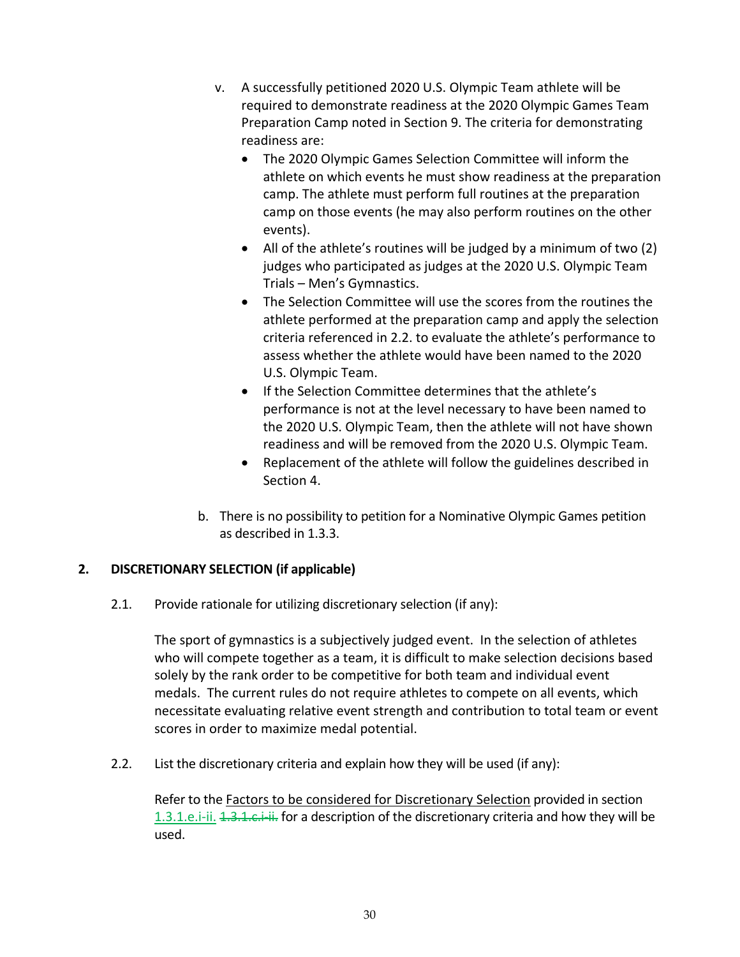- v. A successfully petitioned 2020 U.S. Olympic Team athlete will be required to demonstrate readiness at the 2020 Olympic Games Team Preparation Camp noted in Section 9. The criteria for demonstrating readiness are:
	- The 2020 Olympic Games Selection Committee will inform the athlete on which events he must show readiness at the preparation camp. The athlete must perform full routines at the preparation camp on those events (he may also perform routines on the other events).
	- All of the athlete's routines will be judged by a minimum of two (2) judges who participated as judges at the 2020 U.S. Olympic Team Trials – Men's Gymnastics.
	- The Selection Committee will use the scores from the routines the athlete performed at the preparation camp and apply the selection criteria referenced in 2.2. to evaluate the athlete's performance to assess whether the athlete would have been named to the 2020 U.S. Olympic Team.
	- If the Selection Committee determines that the athlete's performance is not at the level necessary to have been named to the 2020 U.S. Olympic Team, then the athlete will not have shown readiness and will be removed from the 2020 U.S. Olympic Team.
	- Replacement of the athlete will follow the guidelines described in Section 4.
- b. There is no possibility to petition for a Nominative Olympic Games petition as described in 1.3.3.

## **2. DISCRETIONARY SELECTION (if applicable)**

2.1. Provide rationale for utilizing discretionary selection (if any):

The sport of gymnastics is a subjectively judged event. In the selection of athletes who will compete together as a team, it is difficult to make selection decisions based solely by the rank order to be competitive for both team and individual event medals. The current rules do not require athletes to compete on all events, which necessitate evaluating relative event strength and contribution to total team or event scores in order to maximize medal potential.

2.2. List the discretionary criteria and explain how they will be used (if any):

Refer to the Factors to be considered for Discretionary Selection provided in section 1.3.1.e.i-ii. 1.3.1.c.i-ii. for a description of the discretionary criteria and how they will be used.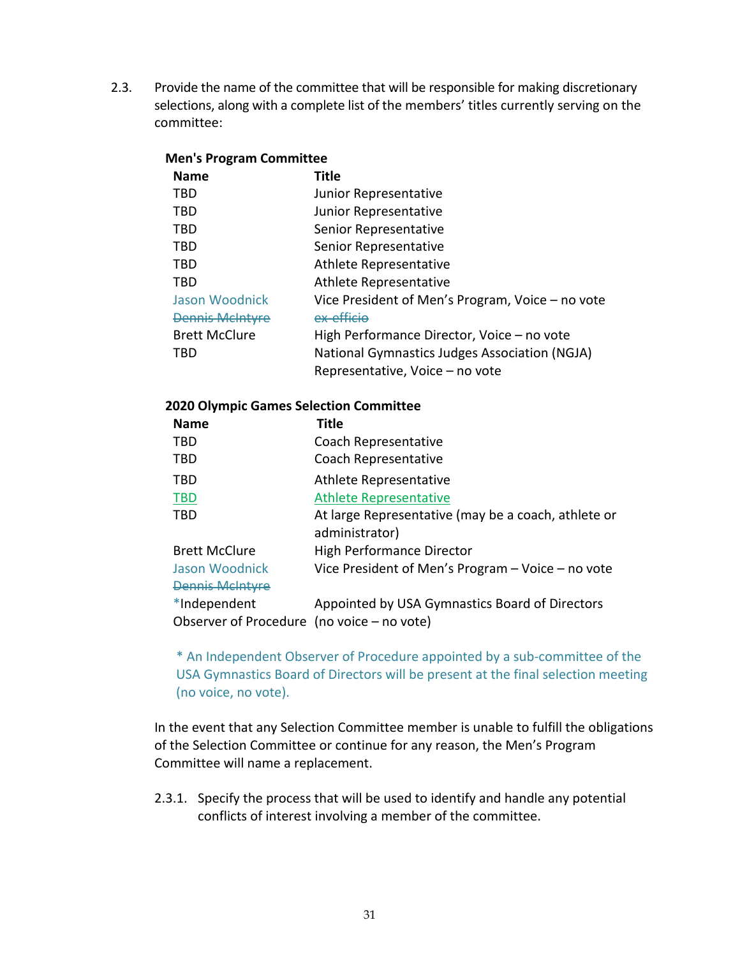2.3. Provide the name of the committee that will be responsible for making discretionary selections, along with a complete list of the members' titles currently serving on the committee:

### **Men's Program Committee**

| <b>Name</b>            | <b>Title</b>                                     |
|------------------------|--------------------------------------------------|
| <b>TBD</b>             | Junior Representative                            |
| <b>TBD</b>             | Junior Representative                            |
| <b>TBD</b>             | Senior Representative                            |
| TBD                    | Senior Representative                            |
| <b>TBD</b>             | Athlete Representative                           |
| <b>TBD</b>             | Athlete Representative                           |
| Jason Woodnick         | Vice President of Men's Program, Voice - no vote |
| <b>Dennis McIntyre</b> | ex-efficio                                       |
| <b>Brett McClure</b>   | High Performance Director, Voice - no vote       |
| TBD                    | National Gymnastics Judges Association (NGJA)    |
|                        | Representative, Voice - no vote                  |

#### **2020 Olympic Games Selection Committee**

| <b>Name</b>                                  | Title                                                 |  |
|----------------------------------------------|-------------------------------------------------------|--|
| <b>TBD</b>                                   | Coach Representative                                  |  |
| <b>TBD</b>                                   | Coach Representative                                  |  |
| <b>TBD</b>                                   | Athlete Representative                                |  |
| <b>TBD</b>                                   | <b>Athlete Representative</b>                         |  |
| <b>TBD</b>                                   | At large Representative (may be a coach, athlete or   |  |
|                                              | administrator)                                        |  |
| <b>Brett McClure</b>                         | High Performance Director                             |  |
| Jason Woodnick                               | Vice President of Men's Program $-$ Voice $-$ no vote |  |
| <b>Dennis Melntyre</b>                       |                                                       |  |
| *Independent                                 | Appointed by USA Gymnastics Board of Directors        |  |
| Observer of Procedure (no voice $-$ no vote) |                                                       |  |

\* An Independent Observer of Procedure appointed by a sub-committee of the USA Gymnastics Board of Directors will be present at the final selection meeting (no voice, no vote).

In the event that any Selection Committee member is unable to fulfill the obligations of the Selection Committee or continue for any reason, the Men's Program Committee will name a replacement.

2.3.1. Specify the process that will be used to identify and handle any potential conflicts of interest involving a member of the committee.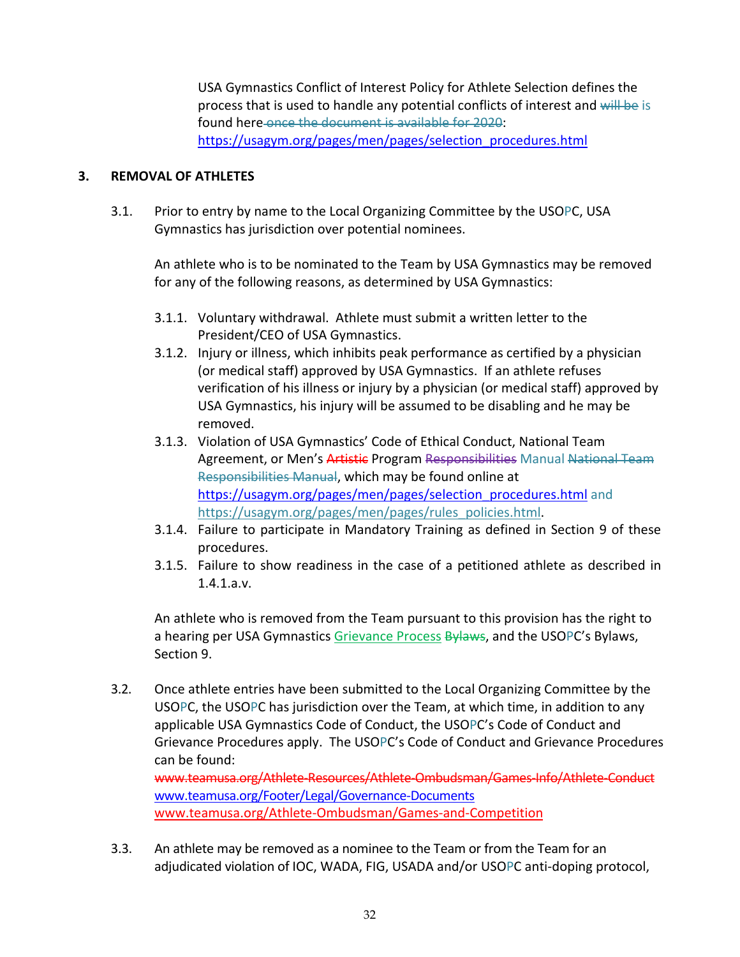USA Gymnastics Conflict of Interest Policy for Athlete Selection defines the process that is used to handle any potential conflicts of interest and will be is found here once the document is available for 2020: https://usagym.org/pages/men/pages/selection\_procedures.html

## **3. REMOVAL OF ATHLETES**

3.1. Prior to entry by name to the Local Organizing Committee by the USOPC, USA Gymnastics has jurisdiction over potential nominees.

An athlete who is to be nominated to the Team by USA Gymnastics may be removed for any of the following reasons, as determined by USA Gymnastics:

- 3.1.1. Voluntary withdrawal. Athlete must submit a written letter to the President/CEO of USA Gymnastics.
- 3.1.2. Injury or illness, which inhibits peak performance as certified by a physician (or medical staff) approved by USA Gymnastics. If an athlete refuses verification of his illness or injury by a physician (or medical staff) approved by USA Gymnastics, his injury will be assumed to be disabling and he may be removed.
- 3.1.3. Violation of USA Gymnastics' Code of Ethical Conduct, National Team Agreement, or Men's Artistic Program Responsibilities Manual National Team Responsibilities Manual, which may be found online at https://usagym.org/pages/men/pages/selection\_procedures.html and https://usagym.org/pages/men/pages/rules\_policies.html.
- 3.1.4. Failure to participate in Mandatory Training as defined in Section 9 of these procedures.
- 3.1.5. Failure to show readiness in the case of a petitioned athlete as described in 1.4.1.a.v.

An athlete who is removed from the Team pursuant to this provision has the right to a hearing per USA Gymnastics Grievance Process Bylaws, and the USOPC's Bylaws, Section 9.

3.2. Once athlete entries have been submitted to the Local Organizing Committee by the USOPC, the USOPC has jurisdiction over the Team, at which time, in addition to any applicable USA Gymnastics Code of Conduct, the USOPC's Code of Conduct and Grievance Procedures apply. The USOPC's Code of Conduct and Grievance Procedures can be found: www.teamusa.org/Athlete-Resources/Athlete-Ombudsman/Games-Info/Athlete-Conduct www.teamusa.org/Footer/Legal/Governance-Documents

www.teamusa.org/Athlete-Ombudsman/Games-and-Competition

3.3. An athlete may be removed as a nominee to the Team or from the Team for an adjudicated violation of IOC, WADA, FIG, USADA and/or USOPC anti-doping protocol,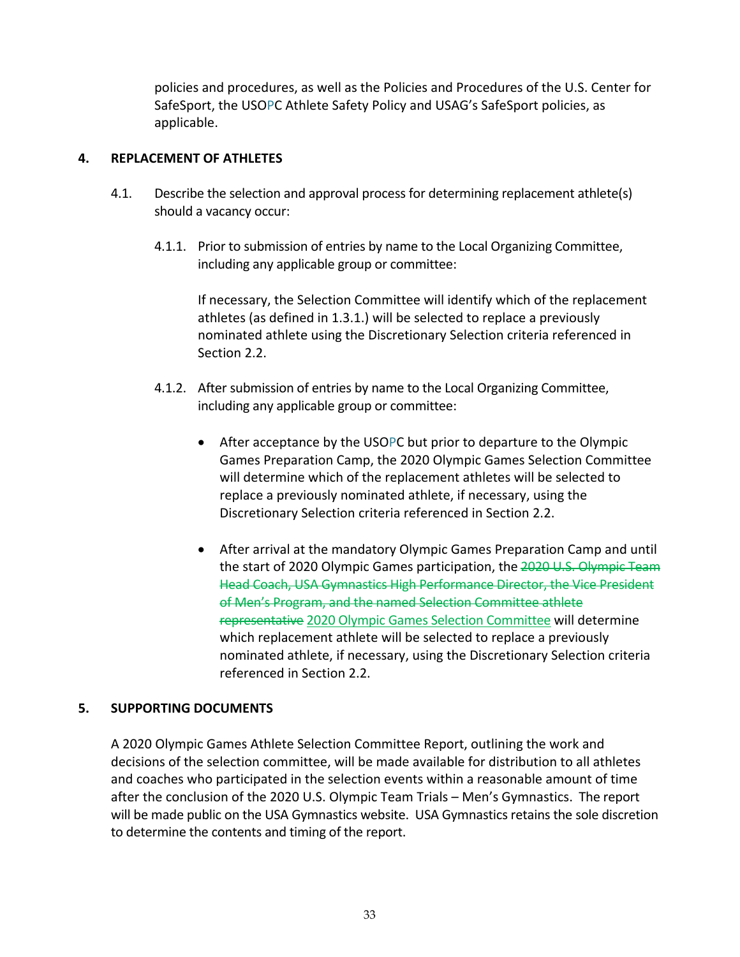policies and procedures, as well as the Policies and Procedures of the U.S. Center for SafeSport, the USOPC Athlete Safety Policy and USAG's SafeSport policies, as applicable.

### **4. REPLACEMENT OF ATHLETES**

- 4.1. Describe the selection and approval process for determining replacement athlete(s) should a vacancy occur:
	- 4.1.1. Prior to submission of entries by name to the Local Organizing Committee, including any applicable group or committee:

If necessary, the Selection Committee will identify which of the replacement athletes (as defined in 1.3.1.) will be selected to replace a previously nominated athlete using the Discretionary Selection criteria referenced in Section 2.2.

- 4.1.2. After submission of entries by name to the Local Organizing Committee, including any applicable group or committee:
	- After acceptance by the USOPC but prior to departure to the Olympic Games Preparation Camp, the 2020 Olympic Games Selection Committee will determine which of the replacement athletes will be selected to replace a previously nominated athlete, if necessary, using the Discretionary Selection criteria referenced in Section 2.2.
	- After arrival at the mandatory Olympic Games Preparation Camp and until the start of 2020 Olympic Games participation, the 2020 U.S. Olympic Team Head Coach, USA Gymnastics High Performance Director, the Vice President of Men's Program, and the named Selection Committee athlete representative 2020 Olympic Games Selection Committee will determine which replacement athlete will be selected to replace a previously nominated athlete, if necessary, using the Discretionary Selection criteria referenced in Section 2.2.

### **5. SUPPORTING DOCUMENTS**

A 2020 Olympic Games Athlete Selection Committee Report, outlining the work and decisions of the selection committee, will be made available for distribution to all athletes and coaches who participated in the selection events within a reasonable amount of time after the conclusion of the 2020 U.S. Olympic Team Trials – Men's Gymnastics. The report will be made public on the USA Gymnastics website. USA Gymnastics retains the sole discretion to determine the contents and timing of the report.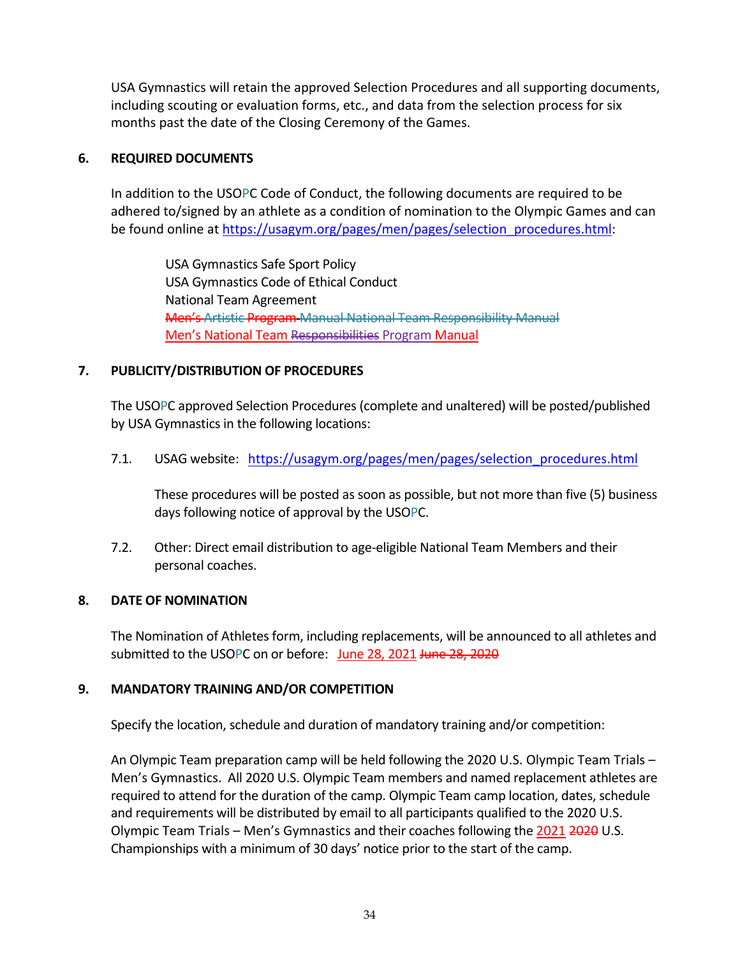USA Gymnastics will retain the approved Selection Procedures and all supporting documents, including scouting or evaluation forms, etc., and data from the selection process for six months past the date of the Closing Ceremony of the Games.

## **6. REQUIRED DOCUMENTS**

In addition to the USOPC Code of Conduct, the following documents are required to be adhered to/signed by an athlete as a condition of nomination to the Olympic Games and can be found online at https://usagym.org/pages/men/pages/selection\_procedures.html:

USA Gymnastics Safe Sport Policy USA Gymnastics Code of Ethical Conduct National Team Agreement Men's Artistic Program Manual National Team Responsibility Manual Men's National Team Responsibilities Program Manual

# **7. PUBLICITY/DISTRIBUTION OF PROCEDURES**

The USOPC approved Selection Procedures (complete and unaltered) will be posted/published by USA Gymnastics in the following locations:

7.1. USAG website: https://usagym.org/pages/men/pages/selection\_procedures.html

These procedures will be posted as soon as possible, but not more than five (5) business days following notice of approval by the USOPC.

7.2. Other: Direct email distribution to age-eligible National Team Members and their personal coaches.

# **8. DATE OF NOMINATION**

The Nomination of Athletes form, including replacements, will be announced to all athletes and submitted to the USOPC on or before: June 28, 2021 June 28, 2020

## **9. MANDATORY TRAINING AND/OR COMPETITION**

Specify the location, schedule and duration of mandatory training and/or competition:

An Olympic Team preparation camp will be held following the 2020 U.S. Olympic Team Trials – Men's Gymnastics. All 2020 U.S. Olympic Team members and named replacement athletes are required to attend for the duration of the camp. Olympic Team camp location, dates, schedule and requirements will be distributed by email to all participants qualified to the 2020 U.S. Olympic Team Trials – Men's Gymnastics and their coaches following the 2021 2020 U.S. Championships with a minimum of 30 days' notice prior to the start of the camp.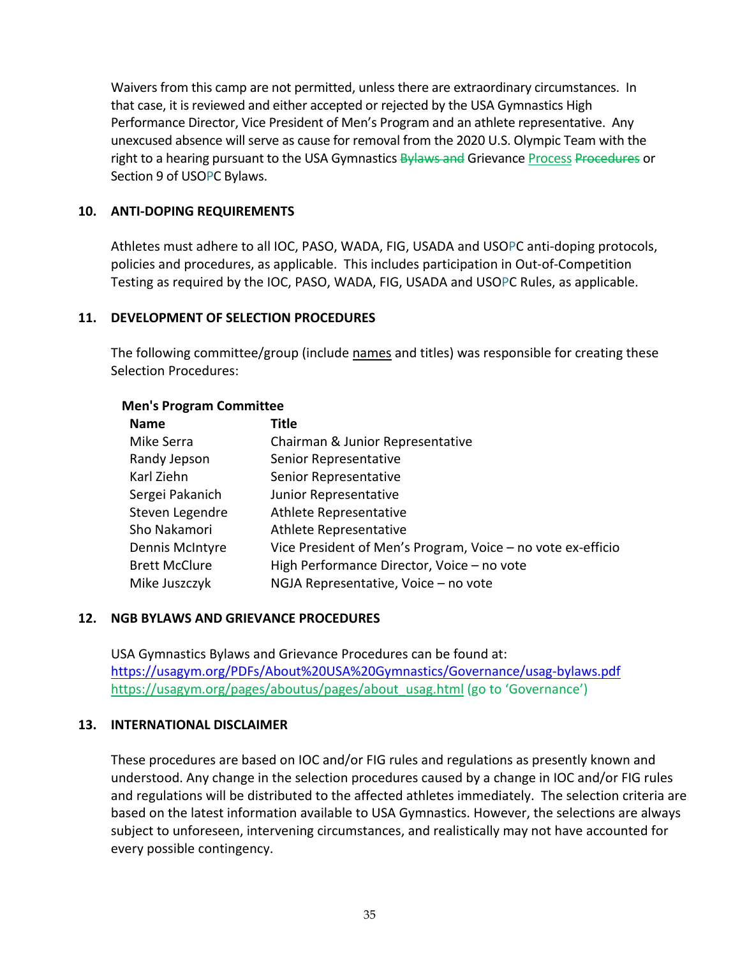Waivers from this camp are not permitted, unless there are extraordinary circumstances. In that case, it is reviewed and either accepted or rejected by the USA Gymnastics High Performance Director, Vice President of Men's Program and an athlete representative. Any unexcused absence will serve as cause for removal from the 2020 U.S. Olympic Team with the right to a hearing pursuant to the USA Gymnastics **Bylaws and Grievance Process Procedures or** Section 9 of USOPC Bylaws.

#### **10. ANTI-DOPING REQUIREMENTS**

Athletes must adhere to all IOC, PASO, WADA, FIG, USADA and USOPC anti-doping protocols, policies and procedures, as applicable. This includes participation in Out-of-Competition Testing as required by the IOC, PASO, WADA, FIG, USADA and USOPC Rules, as applicable.

#### **11. DEVELOPMENT OF SELECTION PROCEDURES**

The following committee/group (include names and titles) was responsible for creating these Selection Procedures:

# **Name Title** Mike Serra Chairman & Junior Representative Randy Jepson Senior Representative Karl Ziehn Senior Representative Sergei Pakanich Junior Representative Steven Legendre Athlete Representative Sho Nakamori Athlete Representative Dennis McIntyre Vice President of Men's Program, Voice – no vote ex-efficio Brett McClure High Performance Director, Voice – no vote Mike Juszczyk NGJA Representative, Voice – no vote

#### **Men's Program Committee**

#### **12. NGB BYLAWS AND GRIEVANCE PROCEDURES**

USA Gymnastics Bylaws and Grievance Procedures can be found at: https://usagym.org/PDFs/About%20USA%20Gymnastics/Governance/usag-bylaws.pdf https://usagym.org/pages/aboutus/pages/about\_usag.html (go to 'Governance')

#### **13. INTERNATIONAL DISCLAIMER**

These procedures are based on IOC and/or FIG rules and regulations as presently known and understood. Any change in the selection procedures caused by a change in IOC and/or FIG rules and regulations will be distributed to the affected athletes immediately. The selection criteria are based on the latest information available to USA Gymnastics. However, the selections are always subject to unforeseen, intervening circumstances, and realistically may not have accounted for every possible contingency.